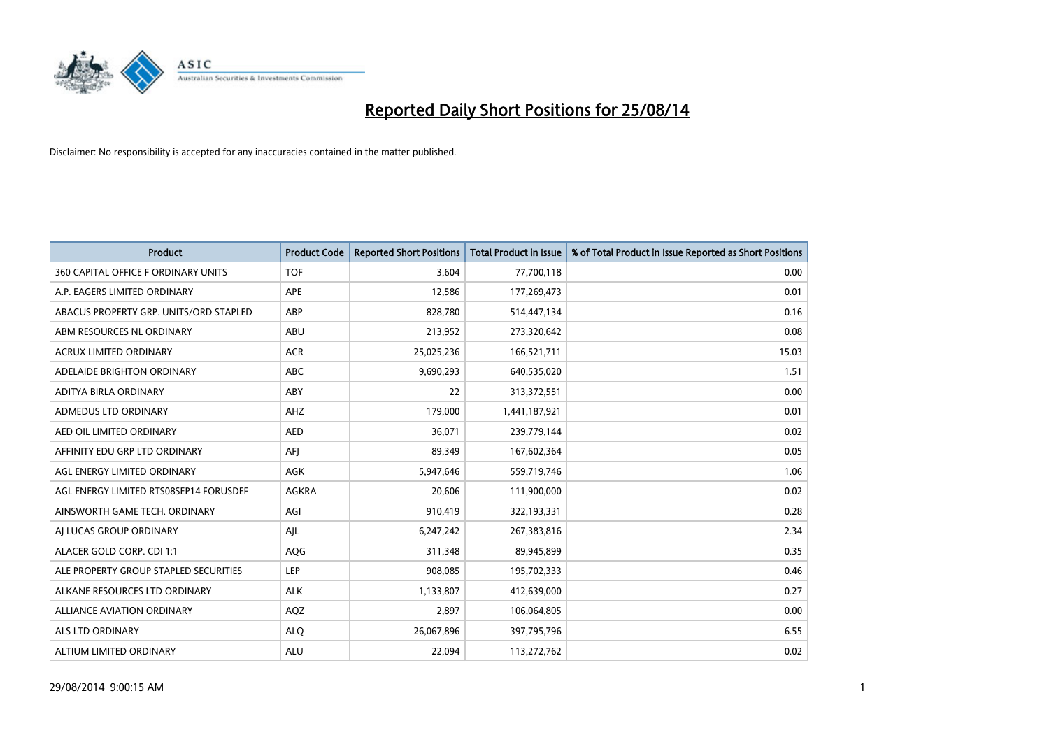

| <b>Product</b>                         | <b>Product Code</b> | <b>Reported Short Positions</b> | <b>Total Product in Issue</b> | % of Total Product in Issue Reported as Short Positions |
|----------------------------------------|---------------------|---------------------------------|-------------------------------|---------------------------------------------------------|
| 360 CAPITAL OFFICE F ORDINARY UNITS    | <b>TOF</b>          | 3,604                           | 77,700,118                    | 0.00                                                    |
| A.P. EAGERS LIMITED ORDINARY           | APE                 | 12,586                          | 177,269,473                   | 0.01                                                    |
| ABACUS PROPERTY GRP. UNITS/ORD STAPLED | ABP                 | 828,780                         | 514,447,134                   | 0.16                                                    |
| ABM RESOURCES NL ORDINARY              | ABU                 | 213,952                         | 273,320,642                   | 0.08                                                    |
| <b>ACRUX LIMITED ORDINARY</b>          | <b>ACR</b>          | 25,025,236                      | 166,521,711                   | 15.03                                                   |
| ADELAIDE BRIGHTON ORDINARY             | <b>ABC</b>          | 9,690,293                       | 640,535,020                   | 1.51                                                    |
| ADITYA BIRLA ORDINARY                  | <b>ABY</b>          | 22                              | 313,372,551                   | 0.00                                                    |
| ADMEDUS LTD ORDINARY                   | AHZ                 | 179,000                         | 1,441,187,921                 | 0.01                                                    |
| AED OIL LIMITED ORDINARY               | <b>AED</b>          | 36,071                          | 239,779,144                   | 0.02                                                    |
| AFFINITY EDU GRP LTD ORDINARY          | AFI                 | 89,349                          | 167,602,364                   | 0.05                                                    |
| AGL ENERGY LIMITED ORDINARY            | AGK                 | 5,947,646                       | 559,719,746                   | 1.06                                                    |
| AGL ENERGY LIMITED RTS08SEP14 FORUSDEF | AGKRA               | 20,606                          | 111,900,000                   | 0.02                                                    |
| AINSWORTH GAME TECH. ORDINARY          | AGI                 | 910,419                         | 322,193,331                   | 0.28                                                    |
| AI LUCAS GROUP ORDINARY                | AJL                 | 6,247,242                       | 267,383,816                   | 2.34                                                    |
| ALACER GOLD CORP. CDI 1:1              | AQG                 | 311,348                         | 89,945,899                    | 0.35                                                    |
| ALE PROPERTY GROUP STAPLED SECURITIES  | LEP                 | 908,085                         | 195,702,333                   | 0.46                                                    |
| ALKANE RESOURCES LTD ORDINARY          | <b>ALK</b>          | 1,133,807                       | 412,639,000                   | 0.27                                                    |
| ALLIANCE AVIATION ORDINARY             | AQZ                 | 2,897                           | 106,064,805                   | 0.00                                                    |
| <b>ALS LTD ORDINARY</b>                | <b>ALO</b>          | 26,067,896                      | 397,795,796                   | 6.55                                                    |
| ALTIUM LIMITED ORDINARY                | <b>ALU</b>          | 22,094                          | 113,272,762                   | 0.02                                                    |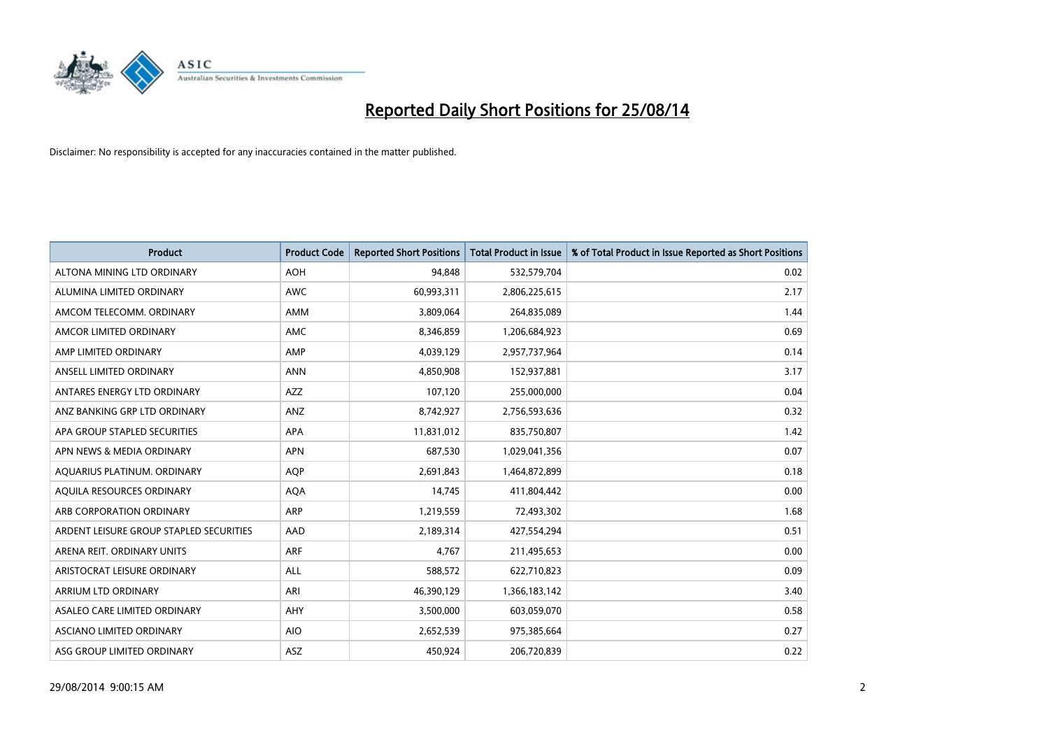

| <b>Product</b>                          | <b>Product Code</b> | <b>Reported Short Positions</b> | <b>Total Product in Issue</b> | % of Total Product in Issue Reported as Short Positions |
|-----------------------------------------|---------------------|---------------------------------|-------------------------------|---------------------------------------------------------|
| ALTONA MINING LTD ORDINARY              | <b>AOH</b>          | 94,848                          | 532,579,704                   | 0.02                                                    |
| ALUMINA LIMITED ORDINARY                | AWC                 | 60,993,311                      | 2,806,225,615                 | 2.17                                                    |
| AMCOM TELECOMM. ORDINARY                | AMM                 | 3,809,064                       | 264,835,089                   | 1.44                                                    |
| AMCOR LIMITED ORDINARY                  | AMC                 | 8,346,859                       | 1,206,684,923                 | 0.69                                                    |
| AMP LIMITED ORDINARY                    | AMP                 | 4,039,129                       | 2,957,737,964                 | 0.14                                                    |
| ANSELL LIMITED ORDINARY                 | <b>ANN</b>          | 4,850,908                       | 152,937,881                   | 3.17                                                    |
| ANTARES ENERGY LTD ORDINARY             | AZZ                 | 107,120                         | 255,000,000                   | 0.04                                                    |
| ANZ BANKING GRP LTD ORDINARY            | ANZ                 | 8,742,927                       | 2,756,593,636                 | 0.32                                                    |
| APA GROUP STAPLED SECURITIES            | <b>APA</b>          | 11,831,012                      | 835,750,807                   | 1.42                                                    |
| APN NEWS & MEDIA ORDINARY               | <b>APN</b>          | 687,530                         | 1,029,041,356                 | 0.07                                                    |
| AQUARIUS PLATINUM. ORDINARY             | AQP                 | 2,691,843                       | 1,464,872,899                 | 0.18                                                    |
| AQUILA RESOURCES ORDINARY               | <b>AQA</b>          | 14,745                          | 411,804,442                   | 0.00                                                    |
| ARB CORPORATION ORDINARY                | ARP                 | 1,219,559                       | 72,493,302                    | 1.68                                                    |
| ARDENT LEISURE GROUP STAPLED SECURITIES | AAD                 | 2,189,314                       | 427,554,294                   | 0.51                                                    |
| ARENA REIT. ORDINARY UNITS              | <b>ARF</b>          | 4,767                           | 211,495,653                   | 0.00                                                    |
| ARISTOCRAT LEISURE ORDINARY             | ALL                 | 588,572                         | 622,710,823                   | 0.09                                                    |
| ARRIUM LTD ORDINARY                     | ARI                 | 46,390,129                      | 1,366,183,142                 | 3.40                                                    |
| ASALEO CARE LIMITED ORDINARY            | AHY                 | 3,500,000                       | 603,059,070                   | 0.58                                                    |
| ASCIANO LIMITED ORDINARY                | <b>AIO</b>          | 2,652,539                       | 975,385,664                   | 0.27                                                    |
| ASG GROUP LIMITED ORDINARY              | ASZ                 | 450,924                         | 206,720,839                   | 0.22                                                    |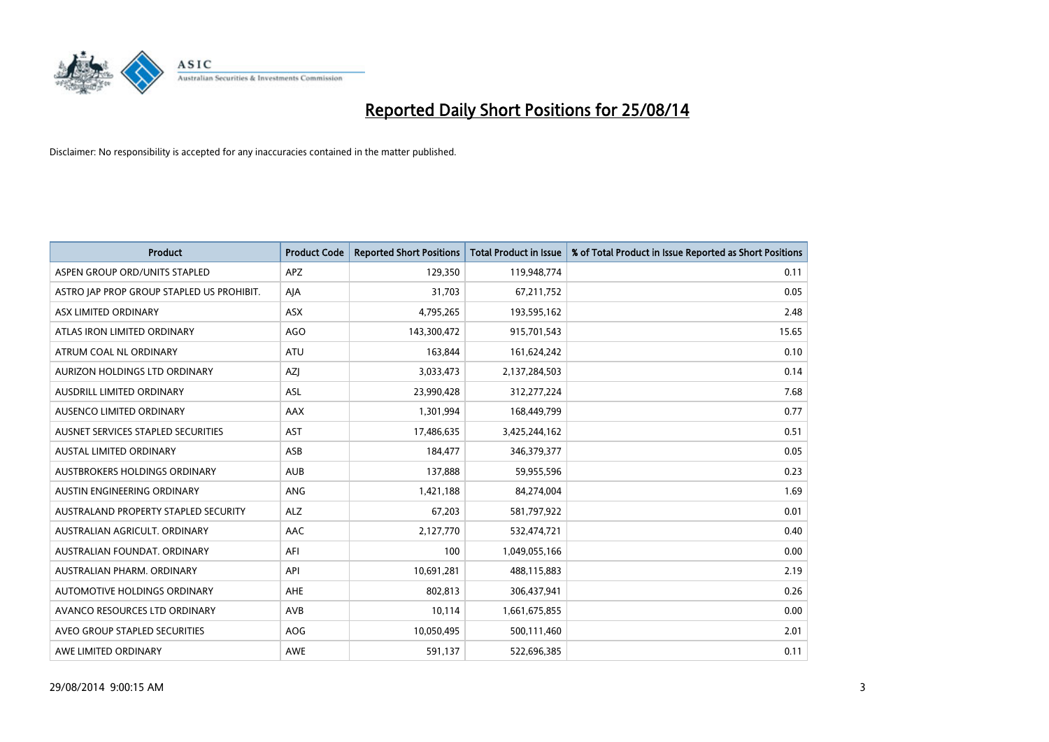

| <b>Product</b>                            | <b>Product Code</b> | <b>Reported Short Positions</b> | <b>Total Product in Issue</b> | % of Total Product in Issue Reported as Short Positions |
|-------------------------------------------|---------------------|---------------------------------|-------------------------------|---------------------------------------------------------|
| ASPEN GROUP ORD/UNITS STAPLED             | APZ                 | 129,350                         | 119,948,774                   | 0.11                                                    |
| ASTRO JAP PROP GROUP STAPLED US PROHIBIT. | AJA                 | 31,703                          | 67,211,752                    | 0.05                                                    |
| ASX LIMITED ORDINARY                      | ASX                 | 4,795,265                       | 193,595,162                   | 2.48                                                    |
| ATLAS IRON LIMITED ORDINARY               | <b>AGO</b>          | 143,300,472                     | 915,701,543                   | 15.65                                                   |
| ATRUM COAL NL ORDINARY                    | ATU                 | 163,844                         | 161,624,242                   | 0.10                                                    |
| AURIZON HOLDINGS LTD ORDINARY             | AZJ                 | 3,033,473                       | 2,137,284,503                 | 0.14                                                    |
| AUSDRILL LIMITED ORDINARY                 | ASL                 | 23,990,428                      | 312,277,224                   | 7.68                                                    |
| AUSENCO LIMITED ORDINARY                  | AAX                 | 1,301,994                       | 168,449,799                   | 0.77                                                    |
| AUSNET SERVICES STAPLED SECURITIES        | AST                 | 17,486,635                      | 3,425,244,162                 | 0.51                                                    |
| <b>AUSTAL LIMITED ORDINARY</b>            | ASB                 | 184,477                         | 346,379,377                   | 0.05                                                    |
| AUSTBROKERS HOLDINGS ORDINARY             | <b>AUB</b>          | 137,888                         | 59,955,596                    | 0.23                                                    |
| AUSTIN ENGINEERING ORDINARY               | <b>ANG</b>          | 1,421,188                       | 84,274,004                    | 1.69                                                    |
| AUSTRALAND PROPERTY STAPLED SECURITY      | <b>ALZ</b>          | 67,203                          | 581,797,922                   | 0.01                                                    |
| AUSTRALIAN AGRICULT, ORDINARY             | AAC                 | 2,127,770                       | 532,474,721                   | 0.40                                                    |
| AUSTRALIAN FOUNDAT, ORDINARY              | AFI                 | 100                             | 1,049,055,166                 | 0.00                                                    |
| AUSTRALIAN PHARM, ORDINARY                | API                 | 10,691,281                      | 488,115,883                   | 2.19                                                    |
| AUTOMOTIVE HOLDINGS ORDINARY              | AHE                 | 802,813                         | 306,437,941                   | 0.26                                                    |
| AVANCO RESOURCES LTD ORDINARY             | AVB                 | 10,114                          | 1,661,675,855                 | 0.00                                                    |
| AVEO GROUP STAPLED SECURITIES             | AOG                 | 10,050,495                      | 500,111,460                   | 2.01                                                    |
| AWE LIMITED ORDINARY                      | <b>AWE</b>          | 591,137                         | 522,696,385                   | 0.11                                                    |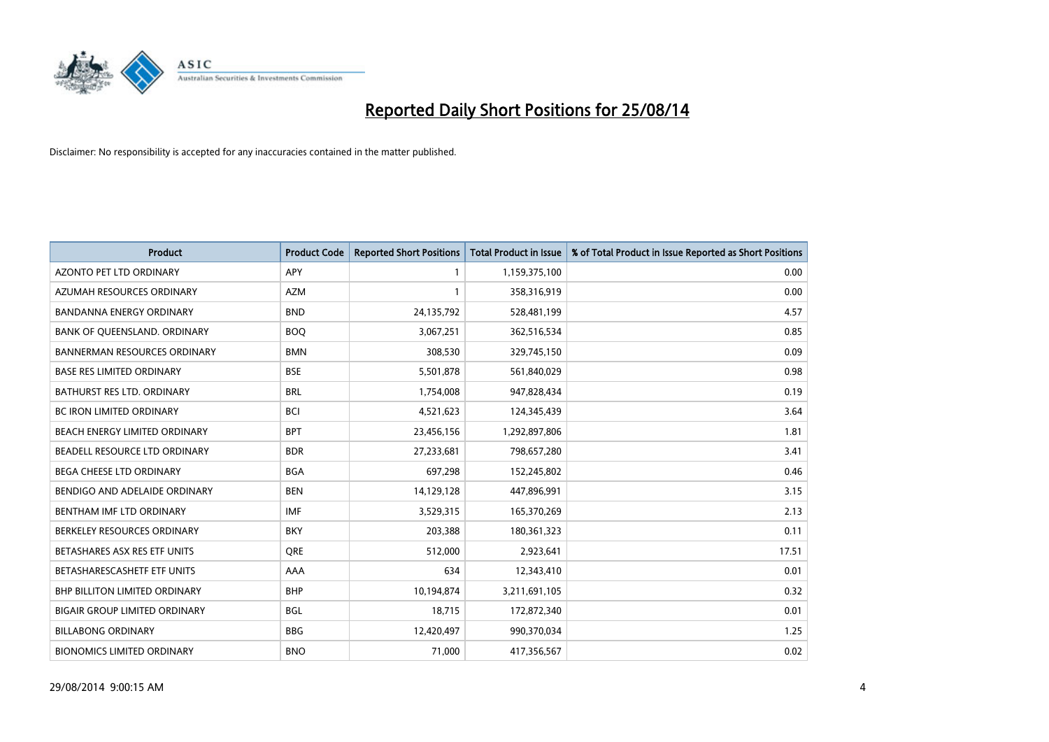

| Product                              | <b>Product Code</b> | <b>Reported Short Positions</b> | <b>Total Product in Issue</b> | % of Total Product in Issue Reported as Short Positions |
|--------------------------------------|---------------------|---------------------------------|-------------------------------|---------------------------------------------------------|
| <b>AZONTO PET LTD ORDINARY</b>       | <b>APY</b>          | $\mathbf{1}$                    | 1,159,375,100                 | 0.00                                                    |
| AZUMAH RESOURCES ORDINARY            | <b>AZM</b>          | 1                               | 358,316,919                   | 0.00                                                    |
| BANDANNA ENERGY ORDINARY             | <b>BND</b>          | 24,135,792                      | 528,481,199                   | 4.57                                                    |
| BANK OF QUEENSLAND. ORDINARY         | <b>BOQ</b>          | 3,067,251                       | 362,516,534                   | 0.85                                                    |
| <b>BANNERMAN RESOURCES ORDINARY</b>  | <b>BMN</b>          | 308,530                         | 329,745,150                   | 0.09                                                    |
| <b>BASE RES LIMITED ORDINARY</b>     | <b>BSE</b>          | 5,501,878                       | 561,840,029                   | 0.98                                                    |
| BATHURST RES LTD. ORDINARY           | <b>BRL</b>          | 1,754,008                       | 947,828,434                   | 0.19                                                    |
| <b>BC IRON LIMITED ORDINARY</b>      | <b>BCI</b>          | 4,521,623                       | 124,345,439                   | 3.64                                                    |
| BEACH ENERGY LIMITED ORDINARY        | <b>BPT</b>          | 23,456,156                      | 1,292,897,806                 | 1.81                                                    |
| BEADELL RESOURCE LTD ORDINARY        | <b>BDR</b>          | 27,233,681                      | 798,657,280                   | 3.41                                                    |
| BEGA CHEESE LTD ORDINARY             | <b>BGA</b>          | 697,298                         | 152,245,802                   | 0.46                                                    |
| BENDIGO AND ADELAIDE ORDINARY        | <b>BEN</b>          | 14,129,128                      | 447,896,991                   | 3.15                                                    |
| BENTHAM IMF LTD ORDINARY             | <b>IMF</b>          | 3,529,315                       | 165,370,269                   | 2.13                                                    |
| BERKELEY RESOURCES ORDINARY          | <b>BKY</b>          | 203,388                         | 180,361,323                   | 0.11                                                    |
| BETASHARES ASX RES ETF UNITS         | <b>ORE</b>          | 512,000                         | 2,923,641                     | 17.51                                                   |
| BETASHARESCASHETF ETF UNITS          | AAA                 | 634                             | 12,343,410                    | 0.01                                                    |
| <b>BHP BILLITON LIMITED ORDINARY</b> | <b>BHP</b>          | 10,194,874                      | 3,211,691,105                 | 0.32                                                    |
| <b>BIGAIR GROUP LIMITED ORDINARY</b> | <b>BGL</b>          | 18.715                          | 172,872,340                   | 0.01                                                    |
| <b>BILLABONG ORDINARY</b>            | <b>BBG</b>          | 12,420,497                      | 990,370,034                   | 1.25                                                    |
| <b>BIONOMICS LIMITED ORDINARY</b>    | <b>BNO</b>          | 71,000                          | 417,356,567                   | 0.02                                                    |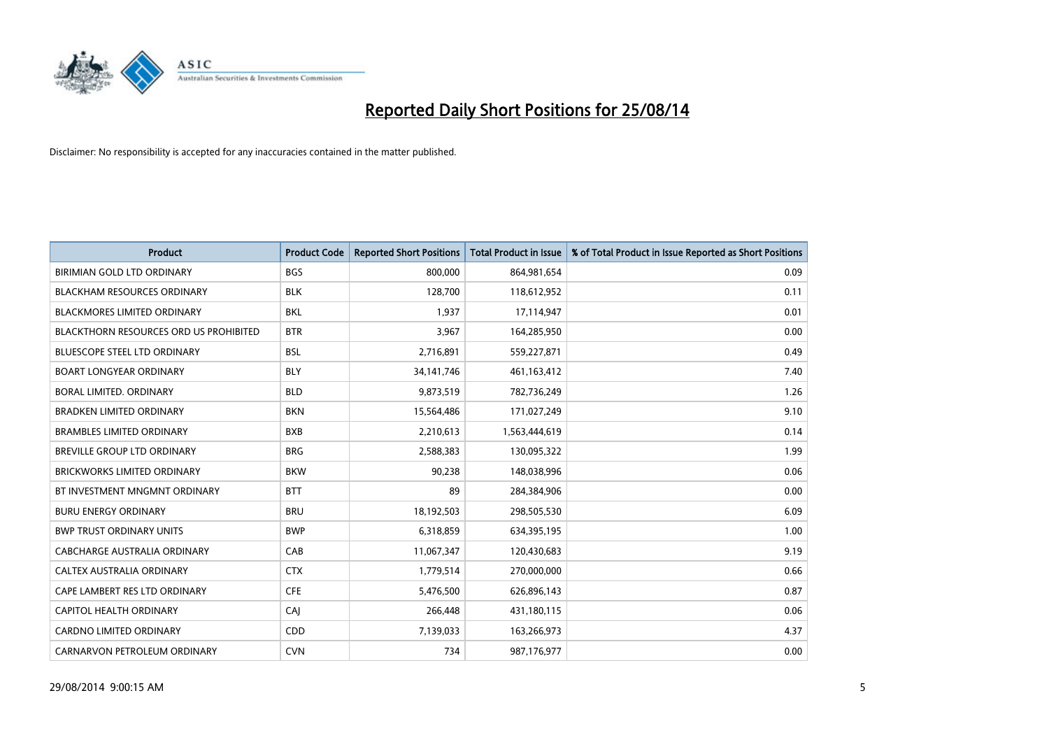

| <b>Product</b>                         | <b>Product Code</b> | <b>Reported Short Positions</b> | <b>Total Product in Issue</b> | % of Total Product in Issue Reported as Short Positions |
|----------------------------------------|---------------------|---------------------------------|-------------------------------|---------------------------------------------------------|
| BIRIMIAN GOLD LTD ORDINARY             | <b>BGS</b>          | 800,000                         | 864,981,654                   | 0.09                                                    |
| <b>BLACKHAM RESOURCES ORDINARY</b>     | <b>BLK</b>          | 128,700                         | 118,612,952                   | 0.11                                                    |
| <b>BLACKMORES LIMITED ORDINARY</b>     | BKL                 | 1,937                           | 17,114,947                    | 0.01                                                    |
| BLACKTHORN RESOURCES ORD US PROHIBITED | <b>BTR</b>          | 3,967                           | 164,285,950                   | 0.00                                                    |
| <b>BLUESCOPE STEEL LTD ORDINARY</b>    | <b>BSL</b>          | 2,716,891                       | 559,227,871                   | 0.49                                                    |
| <b>BOART LONGYEAR ORDINARY</b>         | <b>BLY</b>          | 34, 141, 746                    | 461,163,412                   | 7.40                                                    |
| BORAL LIMITED. ORDINARY                | <b>BLD</b>          | 9,873,519                       | 782,736,249                   | 1.26                                                    |
| <b>BRADKEN LIMITED ORDINARY</b>        | <b>BKN</b>          | 15,564,486                      | 171,027,249                   | 9.10                                                    |
| <b>BRAMBLES LIMITED ORDINARY</b>       | <b>BXB</b>          | 2,210,613                       | 1,563,444,619                 | 0.14                                                    |
| BREVILLE GROUP LTD ORDINARY            | <b>BRG</b>          | 2,588,383                       | 130,095,322                   | 1.99                                                    |
| <b>BRICKWORKS LIMITED ORDINARY</b>     | <b>BKW</b>          | 90,238                          | 148,038,996                   | 0.06                                                    |
| BT INVESTMENT MNGMNT ORDINARY          | <b>BTT</b>          | 89                              | 284,384,906                   | 0.00                                                    |
| <b>BURU ENERGY ORDINARY</b>            | <b>BRU</b>          | 18,192,503                      | 298,505,530                   | 6.09                                                    |
| <b>BWP TRUST ORDINARY UNITS</b>        | <b>BWP</b>          | 6,318,859                       | 634,395,195                   | 1.00                                                    |
| CABCHARGE AUSTRALIA ORDINARY           | CAB                 | 11,067,347                      | 120,430,683                   | 9.19                                                    |
| CALTEX AUSTRALIA ORDINARY              | <b>CTX</b>          | 1,779,514                       | 270,000,000                   | 0.66                                                    |
| CAPE LAMBERT RES LTD ORDINARY          | <b>CFE</b>          | 5,476,500                       | 626,896,143                   | 0.87                                                    |
| CAPITOL HEALTH ORDINARY                | CAJ                 | 266,448                         | 431,180,115                   | 0.06                                                    |
| <b>CARDNO LIMITED ORDINARY</b>         | CDD                 | 7,139,033                       | 163,266,973                   | 4.37                                                    |
| CARNARVON PETROLEUM ORDINARY           | <b>CVN</b>          | 734                             | 987,176,977                   | 0.00                                                    |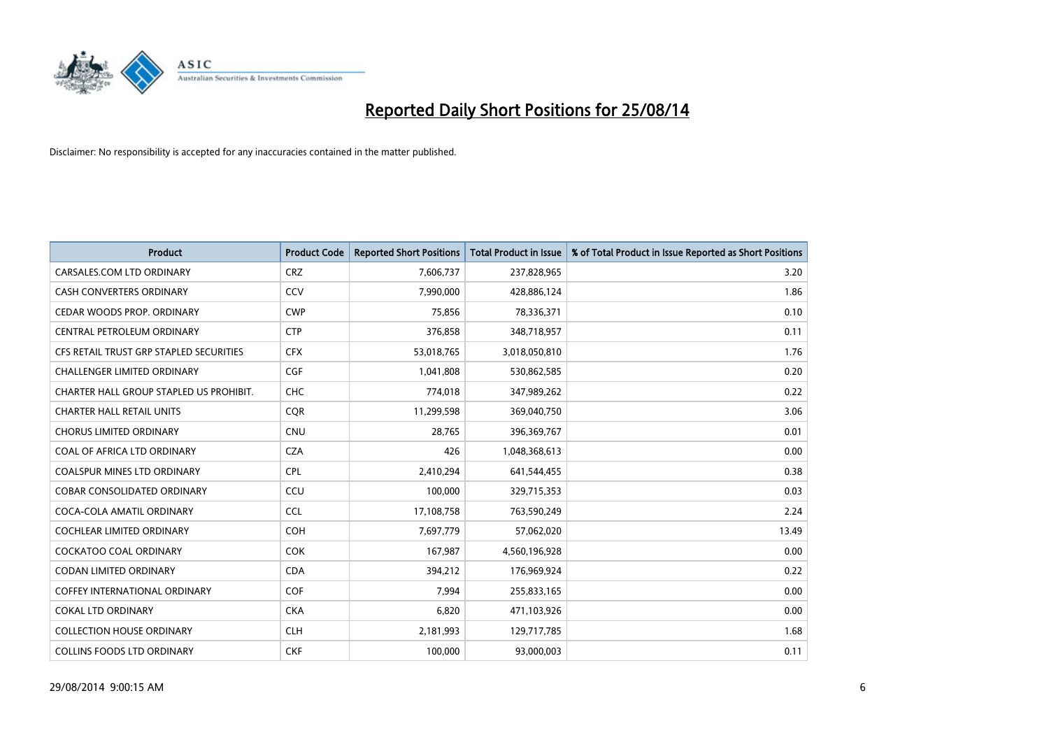

| <b>Product</b>                          | <b>Product Code</b> | <b>Reported Short Positions</b> | <b>Total Product in Issue</b> | % of Total Product in Issue Reported as Short Positions |
|-----------------------------------------|---------------------|---------------------------------|-------------------------------|---------------------------------------------------------|
| CARSALES.COM LTD ORDINARY               | <b>CRZ</b>          | 7,606,737                       | 237,828,965                   | 3.20                                                    |
| <b>CASH CONVERTERS ORDINARY</b>         | <b>CCV</b>          | 7,990,000                       | 428,886,124                   | 1.86                                                    |
| CEDAR WOODS PROP. ORDINARY              | <b>CWP</b>          | 75,856                          | 78,336,371                    | 0.10                                                    |
| CENTRAL PETROLEUM ORDINARY              | <b>CTP</b>          | 376,858                         | 348,718,957                   | 0.11                                                    |
| CFS RETAIL TRUST GRP STAPLED SECURITIES | <b>CFX</b>          | 53,018,765                      | 3,018,050,810                 | 1.76                                                    |
| <b>CHALLENGER LIMITED ORDINARY</b>      | <b>CGF</b>          | 1,041,808                       | 530,862,585                   | 0.20                                                    |
| CHARTER HALL GROUP STAPLED US PROHIBIT. | <b>CHC</b>          | 774,018                         | 347,989,262                   | 0.22                                                    |
| <b>CHARTER HALL RETAIL UNITS</b>        | <b>COR</b>          | 11,299,598                      | 369,040,750                   | 3.06                                                    |
| <b>CHORUS LIMITED ORDINARY</b>          | <b>CNU</b>          | 28,765                          | 396,369,767                   | 0.01                                                    |
| COAL OF AFRICA LTD ORDINARY             | <b>CZA</b>          | 426                             | 1,048,368,613                 | 0.00                                                    |
| COALSPUR MINES LTD ORDINARY             | <b>CPL</b>          | 2,410,294                       | 641,544,455                   | 0.38                                                    |
| <b>COBAR CONSOLIDATED ORDINARY</b>      | CCU                 | 100,000                         | 329,715,353                   | 0.03                                                    |
| COCA-COLA AMATIL ORDINARY               | <b>CCL</b>          | 17,108,758                      | 763,590,249                   | 2.24                                                    |
| COCHLEAR LIMITED ORDINARY               | <b>COH</b>          | 7,697,779                       | 57,062,020                    | 13.49                                                   |
| <b>COCKATOO COAL ORDINARY</b>           | <b>COK</b>          | 167,987                         | 4,560,196,928                 | 0.00                                                    |
| CODAN LIMITED ORDINARY                  | <b>CDA</b>          | 394,212                         | 176,969,924                   | 0.22                                                    |
| COFFEY INTERNATIONAL ORDINARY           | <b>COF</b>          | 7,994                           | 255,833,165                   | 0.00                                                    |
| <b>COKAL LTD ORDINARY</b>               | <b>CKA</b>          | 6,820                           | 471,103,926                   | 0.00                                                    |
| <b>COLLECTION HOUSE ORDINARY</b>        | <b>CLH</b>          | 2,181,993                       | 129,717,785                   | 1.68                                                    |
| <b>COLLINS FOODS LTD ORDINARY</b>       | <b>CKF</b>          | 100,000                         | 93,000,003                    | 0.11                                                    |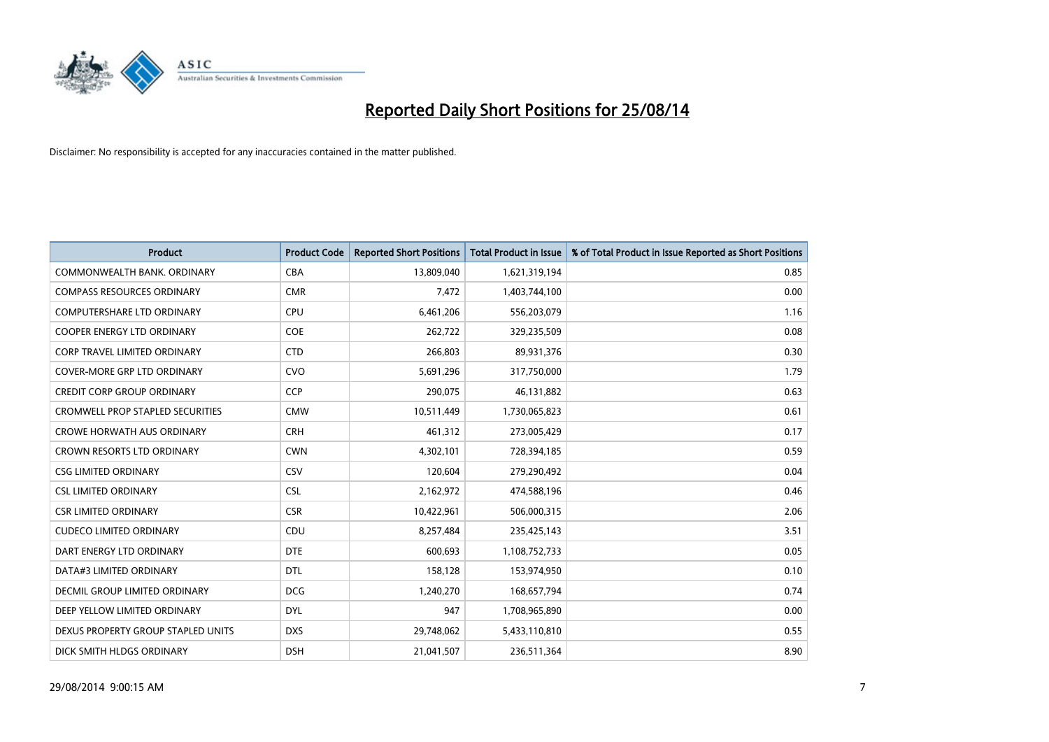

| <b>Product</b>                          | <b>Product Code</b> | <b>Reported Short Positions</b> | <b>Total Product in Issue</b> | % of Total Product in Issue Reported as Short Positions |
|-----------------------------------------|---------------------|---------------------------------|-------------------------------|---------------------------------------------------------|
| COMMONWEALTH BANK, ORDINARY             | <b>CBA</b>          | 13,809,040                      | 1,621,319,194                 | 0.85                                                    |
| <b>COMPASS RESOURCES ORDINARY</b>       | <b>CMR</b>          | 7,472                           | 1,403,744,100                 | 0.00                                                    |
| <b>COMPUTERSHARE LTD ORDINARY</b>       | <b>CPU</b>          | 6,461,206                       | 556,203,079                   | 1.16                                                    |
| COOPER ENERGY LTD ORDINARY              | <b>COE</b>          | 262,722                         | 329,235,509                   | 0.08                                                    |
| <b>CORP TRAVEL LIMITED ORDINARY</b>     | <b>CTD</b>          | 266,803                         | 89,931,376                    | 0.30                                                    |
| <b>COVER-MORE GRP LTD ORDINARY</b>      | <b>CVO</b>          | 5,691,296                       | 317,750,000                   | 1.79                                                    |
| <b>CREDIT CORP GROUP ORDINARY</b>       | <b>CCP</b>          | 290,075                         | 46,131,882                    | 0.63                                                    |
| <b>CROMWELL PROP STAPLED SECURITIES</b> | <b>CMW</b>          | 10,511,449                      | 1,730,065,823                 | 0.61                                                    |
| <b>CROWE HORWATH AUS ORDINARY</b>       | <b>CRH</b>          | 461,312                         | 273,005,429                   | 0.17                                                    |
| <b>CROWN RESORTS LTD ORDINARY</b>       | <b>CWN</b>          | 4,302,101                       | 728,394,185                   | 0.59                                                    |
| <b>CSG LIMITED ORDINARY</b>             | CSV                 | 120,604                         | 279,290,492                   | 0.04                                                    |
| <b>CSL LIMITED ORDINARY</b>             | <b>CSL</b>          | 2,162,972                       | 474,588,196                   | 0.46                                                    |
| <b>CSR LIMITED ORDINARY</b>             | <b>CSR</b>          | 10,422,961                      | 506,000,315                   | 2.06                                                    |
| <b>CUDECO LIMITED ORDINARY</b>          | CDU                 | 8,257,484                       | 235,425,143                   | 3.51                                                    |
| DART ENERGY LTD ORDINARY                | <b>DTE</b>          | 600,693                         | 1,108,752,733                 | 0.05                                                    |
| DATA#3 LIMITED ORDINARY                 | <b>DTL</b>          | 158,128                         | 153,974,950                   | 0.10                                                    |
| DECMIL GROUP LIMITED ORDINARY           | <b>DCG</b>          | 1,240,270                       | 168,657,794                   | 0.74                                                    |
| DEEP YELLOW LIMITED ORDINARY            | <b>DYL</b>          | 947                             | 1,708,965,890                 | 0.00                                                    |
| DEXUS PROPERTY GROUP STAPLED UNITS      | <b>DXS</b>          | 29,748,062                      | 5,433,110,810                 | 0.55                                                    |
| DICK SMITH HLDGS ORDINARY               | <b>DSH</b>          | 21,041,507                      | 236,511,364                   | 8.90                                                    |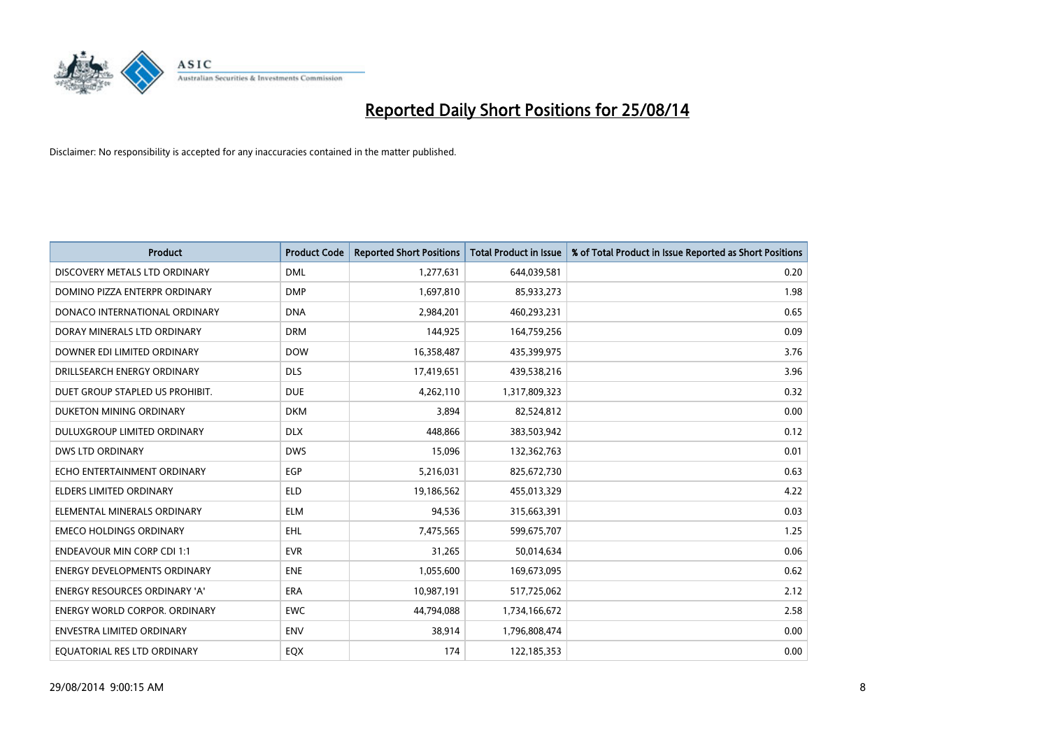

| <b>Product</b>                       | <b>Product Code</b> | <b>Reported Short Positions</b> | <b>Total Product in Issue</b> | % of Total Product in Issue Reported as Short Positions |
|--------------------------------------|---------------------|---------------------------------|-------------------------------|---------------------------------------------------------|
| DISCOVERY METALS LTD ORDINARY        | <b>DML</b>          | 1,277,631                       | 644,039,581                   | 0.20                                                    |
| DOMINO PIZZA ENTERPR ORDINARY        | <b>DMP</b>          | 1,697,810                       | 85,933,273                    | 1.98                                                    |
| DONACO INTERNATIONAL ORDINARY        | <b>DNA</b>          | 2,984,201                       | 460,293,231                   | 0.65                                                    |
| DORAY MINERALS LTD ORDINARY          | <b>DRM</b>          | 144,925                         | 164,759,256                   | 0.09                                                    |
| DOWNER EDI LIMITED ORDINARY          | <b>DOW</b>          | 16,358,487                      | 435,399,975                   | 3.76                                                    |
| DRILLSEARCH ENERGY ORDINARY          | <b>DLS</b>          | 17,419,651                      | 439,538,216                   | 3.96                                                    |
| DUET GROUP STAPLED US PROHIBIT.      | <b>DUE</b>          | 4,262,110                       | 1,317,809,323                 | 0.32                                                    |
| DUKETON MINING ORDINARY              | <b>DKM</b>          | 3,894                           | 82,524,812                    | 0.00                                                    |
| DULUXGROUP LIMITED ORDINARY          | <b>DLX</b>          | 448,866                         | 383,503,942                   | 0.12                                                    |
| <b>DWS LTD ORDINARY</b>              | <b>DWS</b>          | 15,096                          | 132,362,763                   | 0.01                                                    |
| ECHO ENTERTAINMENT ORDINARY          | <b>EGP</b>          | 5,216,031                       | 825,672,730                   | 0.63                                                    |
| <b>ELDERS LIMITED ORDINARY</b>       | <b>ELD</b>          | 19,186,562                      | 455,013,329                   | 4.22                                                    |
| ELEMENTAL MINERALS ORDINARY          | <b>ELM</b>          | 94,536                          | 315,663,391                   | 0.03                                                    |
| <b>EMECO HOLDINGS ORDINARY</b>       | EHL                 | 7,475,565                       | 599,675,707                   | 1.25                                                    |
| <b>ENDEAVOUR MIN CORP CDI 1:1</b>    | <b>EVR</b>          | 31,265                          | 50,014,634                    | 0.06                                                    |
| <b>ENERGY DEVELOPMENTS ORDINARY</b>  | <b>ENE</b>          | 1,055,600                       | 169,673,095                   | 0.62                                                    |
| <b>ENERGY RESOURCES ORDINARY 'A'</b> | ERA                 | 10,987,191                      | 517,725,062                   | 2.12                                                    |
| <b>ENERGY WORLD CORPOR. ORDINARY</b> | <b>EWC</b>          | 44,794,088                      | 1,734,166,672                 | 2.58                                                    |
| <b>ENVESTRA LIMITED ORDINARY</b>     | <b>ENV</b>          | 38,914                          | 1,796,808,474                 | 0.00                                                    |
| EQUATORIAL RES LTD ORDINARY          | EQX                 | 174                             | 122,185,353                   | 0.00                                                    |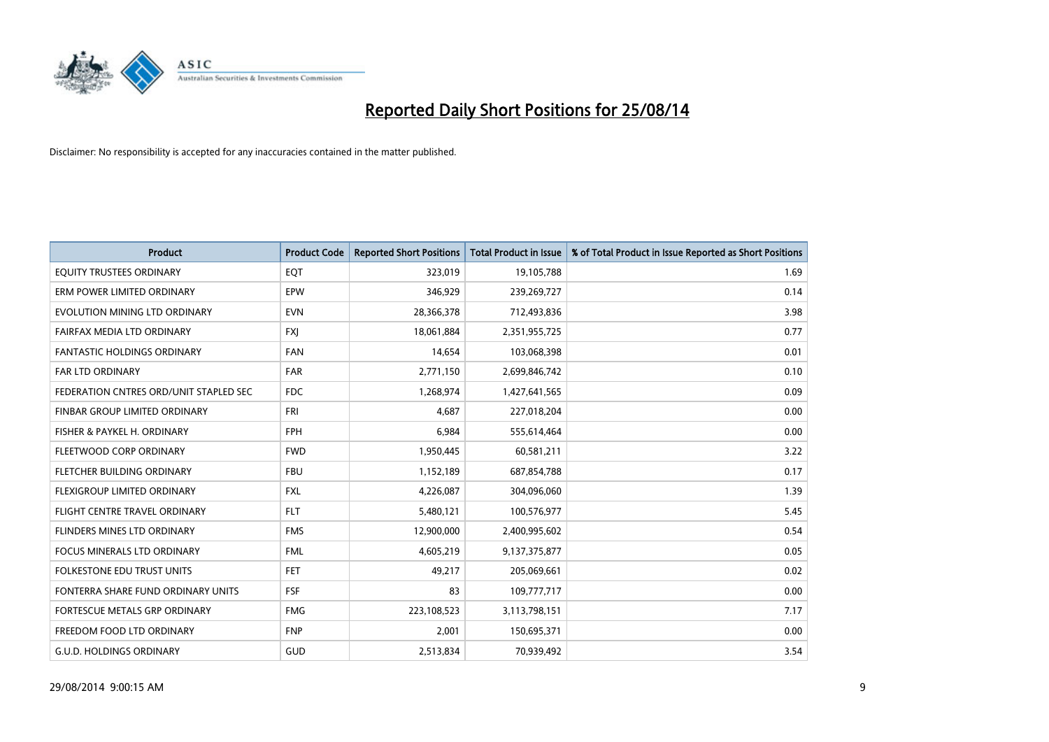

| <b>Product</b>                         | <b>Product Code</b> | <b>Reported Short Positions</b> | <b>Total Product in Issue</b> | % of Total Product in Issue Reported as Short Positions |
|----------------------------------------|---------------------|---------------------------------|-------------------------------|---------------------------------------------------------|
| EQUITY TRUSTEES ORDINARY               | EQT                 | 323,019                         | 19,105,788                    | 1.69                                                    |
| ERM POWER LIMITED ORDINARY             | EPW                 | 346,929                         | 239,269,727                   | 0.14                                                    |
| EVOLUTION MINING LTD ORDINARY          | <b>EVN</b>          | 28,366,378                      | 712,493,836                   | 3.98                                                    |
| FAIRFAX MEDIA LTD ORDINARY             | <b>FXI</b>          | 18,061,884                      | 2,351,955,725                 | 0.77                                                    |
| <b>FANTASTIC HOLDINGS ORDINARY</b>     | <b>FAN</b>          | 14,654                          | 103,068,398                   | 0.01                                                    |
| <b>FAR LTD ORDINARY</b>                | <b>FAR</b>          | 2,771,150                       | 2,699,846,742                 | 0.10                                                    |
| FEDERATION CNTRES ORD/UNIT STAPLED SEC | FDC                 | 1,268,974                       | 1,427,641,565                 | 0.09                                                    |
| FINBAR GROUP LIMITED ORDINARY          | FRI                 | 4,687                           | 227,018,204                   | 0.00                                                    |
| FISHER & PAYKEL H. ORDINARY            | <b>FPH</b>          | 6,984                           | 555,614,464                   | 0.00                                                    |
| FLEETWOOD CORP ORDINARY                | <b>FWD</b>          | 1,950,445                       | 60,581,211                    | 3.22                                                    |
| FLETCHER BUILDING ORDINARY             | <b>FBU</b>          | 1,152,189                       | 687,854,788                   | 0.17                                                    |
| FLEXIGROUP LIMITED ORDINARY            | <b>FXL</b>          | 4,226,087                       | 304,096,060                   | 1.39                                                    |
| FLIGHT CENTRE TRAVEL ORDINARY          | <b>FLT</b>          | 5,480,121                       | 100,576,977                   | 5.45                                                    |
| FLINDERS MINES LTD ORDINARY            | <b>FMS</b>          | 12,900,000                      | 2,400,995,602                 | 0.54                                                    |
| <b>FOCUS MINERALS LTD ORDINARY</b>     | <b>FML</b>          | 4,605,219                       | 9,137,375,877                 | 0.05                                                    |
| <b>FOLKESTONE EDU TRUST UNITS</b>      | FET                 | 49,217                          | 205,069,661                   | 0.02                                                    |
| FONTERRA SHARE FUND ORDINARY UNITS     | <b>FSF</b>          | 83                              | 109,777,717                   | 0.00                                                    |
| FORTESCUE METALS GRP ORDINARY          | <b>FMG</b>          | 223,108,523                     | 3,113,798,151                 | 7.17                                                    |
| FREEDOM FOOD LTD ORDINARY              | <b>FNP</b>          | 2,001                           | 150,695,371                   | 0.00                                                    |
| <b>G.U.D. HOLDINGS ORDINARY</b>        | GUD                 | 2,513,834                       | 70,939,492                    | 3.54                                                    |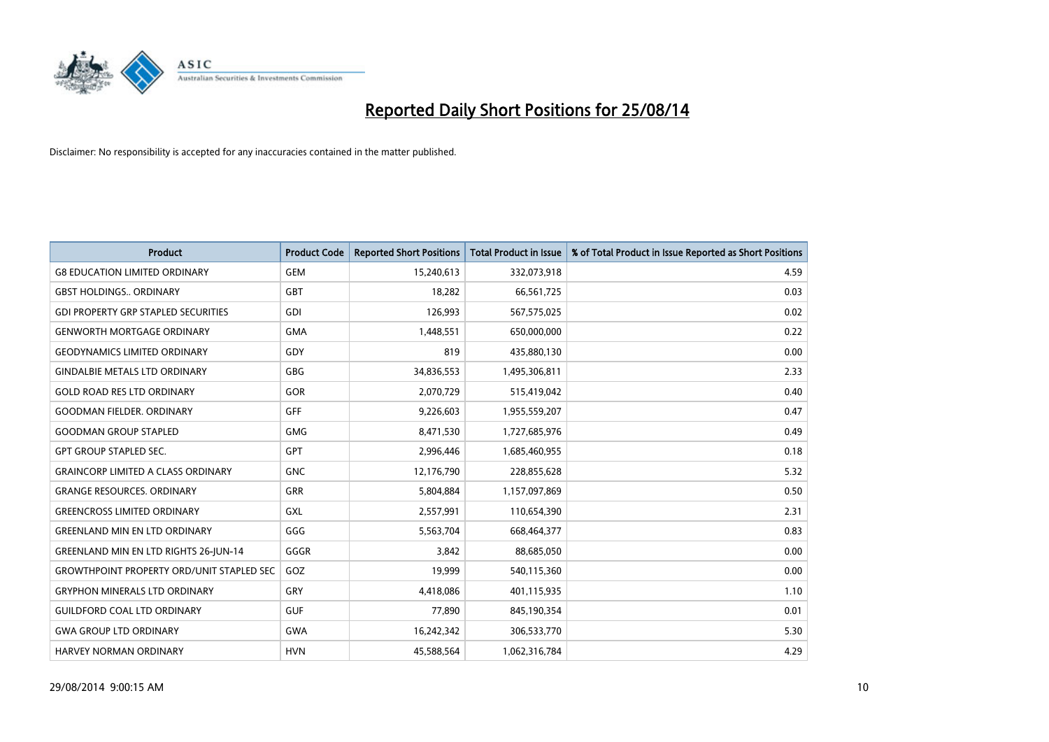

| <b>Product</b>                                   | <b>Product Code</b> | <b>Reported Short Positions</b> | <b>Total Product in Issue</b> | % of Total Product in Issue Reported as Short Positions |
|--------------------------------------------------|---------------------|---------------------------------|-------------------------------|---------------------------------------------------------|
| <b>G8 EDUCATION LIMITED ORDINARY</b>             | <b>GEM</b>          | 15,240,613                      | 332,073,918                   | 4.59                                                    |
| <b>GBST HOLDINGS ORDINARY</b>                    | <b>GBT</b>          | 18,282                          | 66,561,725                    | 0.03                                                    |
| <b>GDI PROPERTY GRP STAPLED SECURITIES</b>       | <b>GDI</b>          | 126,993                         | 567,575,025                   | 0.02                                                    |
| <b>GENWORTH MORTGAGE ORDINARY</b>                | <b>GMA</b>          | 1,448,551                       | 650,000,000                   | 0.22                                                    |
| <b>GEODYNAMICS LIMITED ORDINARY</b>              | GDY                 | 819                             | 435,880,130                   | 0.00                                                    |
| <b>GINDALBIE METALS LTD ORDINARY</b>             | <b>GBG</b>          | 34,836,553                      | 1,495,306,811                 | 2.33                                                    |
| <b>GOLD ROAD RES LTD ORDINARY</b>                | GOR                 | 2,070,729                       | 515,419,042                   | 0.40                                                    |
| <b>GOODMAN FIELDER, ORDINARY</b>                 | <b>GFF</b>          | 9,226,603                       | 1,955,559,207                 | 0.47                                                    |
| <b>GOODMAN GROUP STAPLED</b>                     | <b>GMG</b>          | 8,471,530                       | 1,727,685,976                 | 0.49                                                    |
| <b>GPT GROUP STAPLED SEC.</b>                    | <b>GPT</b>          | 2,996,446                       | 1,685,460,955                 | 0.18                                                    |
| <b>GRAINCORP LIMITED A CLASS ORDINARY</b>        | <b>GNC</b>          | 12,176,790                      | 228,855,628                   | 5.32                                                    |
| <b>GRANGE RESOURCES, ORDINARY</b>                | <b>GRR</b>          | 5,804,884                       | 1,157,097,869                 | 0.50                                                    |
| <b>GREENCROSS LIMITED ORDINARY</b>               | <b>GXL</b>          | 2,557,991                       | 110,654,390                   | 2.31                                                    |
| <b>GREENLAND MIN EN LTD ORDINARY</b>             | GGG                 | 5,563,704                       | 668,464,377                   | 0.83                                                    |
| <b>GREENLAND MIN EN LTD RIGHTS 26-JUN-14</b>     | GGGR                | 3,842                           | 88,685,050                    | 0.00                                                    |
| <b>GROWTHPOINT PROPERTY ORD/UNIT STAPLED SEC</b> | GOZ                 | 19,999                          | 540,115,360                   | 0.00                                                    |
| <b>GRYPHON MINERALS LTD ORDINARY</b>             | GRY                 | 4,418,086                       | 401,115,935                   | 1.10                                                    |
| <b>GUILDFORD COAL LTD ORDINARY</b>               | <b>GUF</b>          | 77,890                          | 845,190,354                   | 0.01                                                    |
| <b>GWA GROUP LTD ORDINARY</b>                    | <b>GWA</b>          | 16,242,342                      | 306,533,770                   | 5.30                                                    |
| <b>HARVEY NORMAN ORDINARY</b>                    | <b>HVN</b>          | 45,588,564                      | 1,062,316,784                 | 4.29                                                    |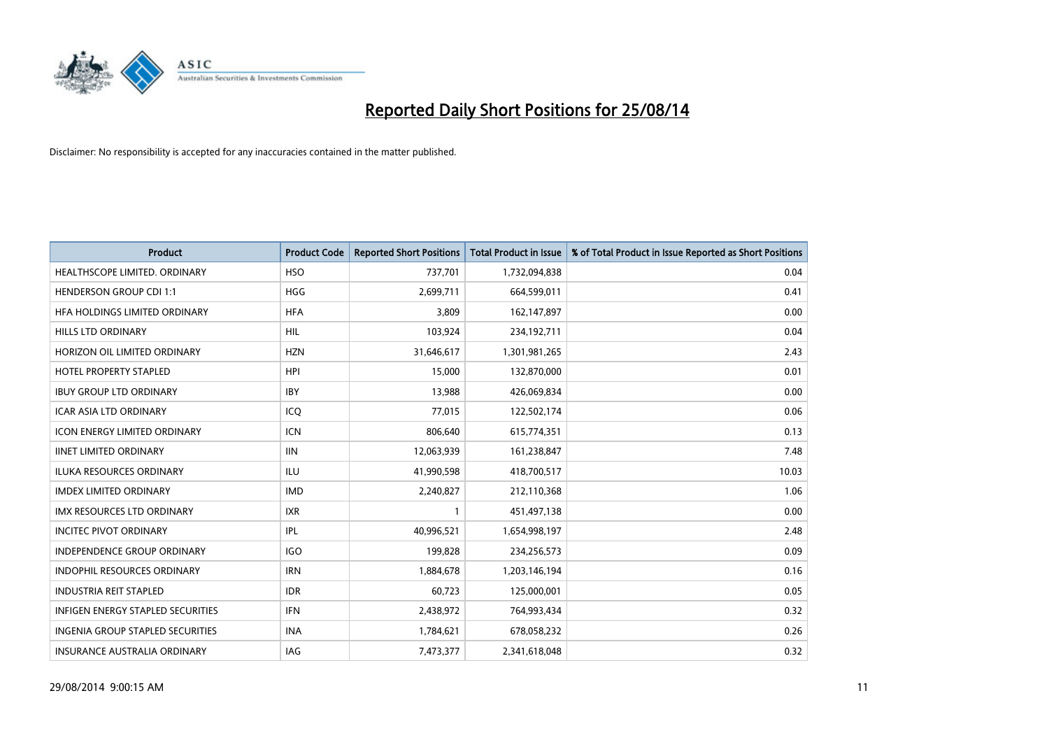

| Product                                  | <b>Product Code</b> | <b>Reported Short Positions</b> | <b>Total Product in Issue</b> | % of Total Product in Issue Reported as Short Positions |
|------------------------------------------|---------------------|---------------------------------|-------------------------------|---------------------------------------------------------|
| HEALTHSCOPE LIMITED. ORDINARY            | <b>HSO</b>          | 737,701                         | 1,732,094,838                 | 0.04                                                    |
| <b>HENDERSON GROUP CDI 1:1</b>           | <b>HGG</b>          | 2,699,711                       | 664,599,011                   | 0.41                                                    |
| HFA HOLDINGS LIMITED ORDINARY            | <b>HFA</b>          | 3,809                           | 162,147,897                   | 0.00                                                    |
| <b>HILLS LTD ORDINARY</b>                | HIL                 | 103,924                         | 234,192,711                   | 0.04                                                    |
| HORIZON OIL LIMITED ORDINARY             | <b>HZN</b>          | 31,646,617                      | 1,301,981,265                 | 2.43                                                    |
| <b>HOTEL PROPERTY STAPLED</b>            | <b>HPI</b>          | 15,000                          | 132,870,000                   | 0.01                                                    |
| <b>IBUY GROUP LTD ORDINARY</b>           | <b>IBY</b>          | 13,988                          | 426,069,834                   | 0.00                                                    |
| <b>ICAR ASIA LTD ORDINARY</b>            | ICO                 | 77,015                          | 122,502,174                   | 0.06                                                    |
| <b>ICON ENERGY LIMITED ORDINARY</b>      | <b>ICN</b>          | 806,640                         | 615,774,351                   | 0.13                                                    |
| <b>IINET LIMITED ORDINARY</b>            | <b>IIN</b>          | 12,063,939                      | 161,238,847                   | 7.48                                                    |
| ILUKA RESOURCES ORDINARY                 | ILU                 | 41,990,598                      | 418,700,517                   | 10.03                                                   |
| <b>IMDEX LIMITED ORDINARY</b>            | <b>IMD</b>          | 2,240,827                       | 212,110,368                   | 1.06                                                    |
| <b>IMX RESOURCES LTD ORDINARY</b>        | <b>IXR</b>          | 1                               | 451,497,138                   | 0.00                                                    |
| <b>INCITEC PIVOT ORDINARY</b>            | IPL                 | 40,996,521                      | 1,654,998,197                 | 2.48                                                    |
| <b>INDEPENDENCE GROUP ORDINARY</b>       | <b>IGO</b>          | 199,828                         | 234,256,573                   | 0.09                                                    |
| INDOPHIL RESOURCES ORDINARY              | <b>IRN</b>          | 1,884,678                       | 1,203,146,194                 | 0.16                                                    |
| <b>INDUSTRIA REIT STAPLED</b>            | <b>IDR</b>          | 60,723                          | 125,000,001                   | 0.05                                                    |
| <b>INFIGEN ENERGY STAPLED SECURITIES</b> | <b>IFN</b>          | 2,438,972                       | 764,993,434                   | 0.32                                                    |
| INGENIA GROUP STAPLED SECURITIES         | <b>INA</b>          | 1,784,621                       | 678,058,232                   | 0.26                                                    |
| INSURANCE AUSTRALIA ORDINARY             | IAG                 | 7,473,377                       | 2,341,618,048                 | 0.32                                                    |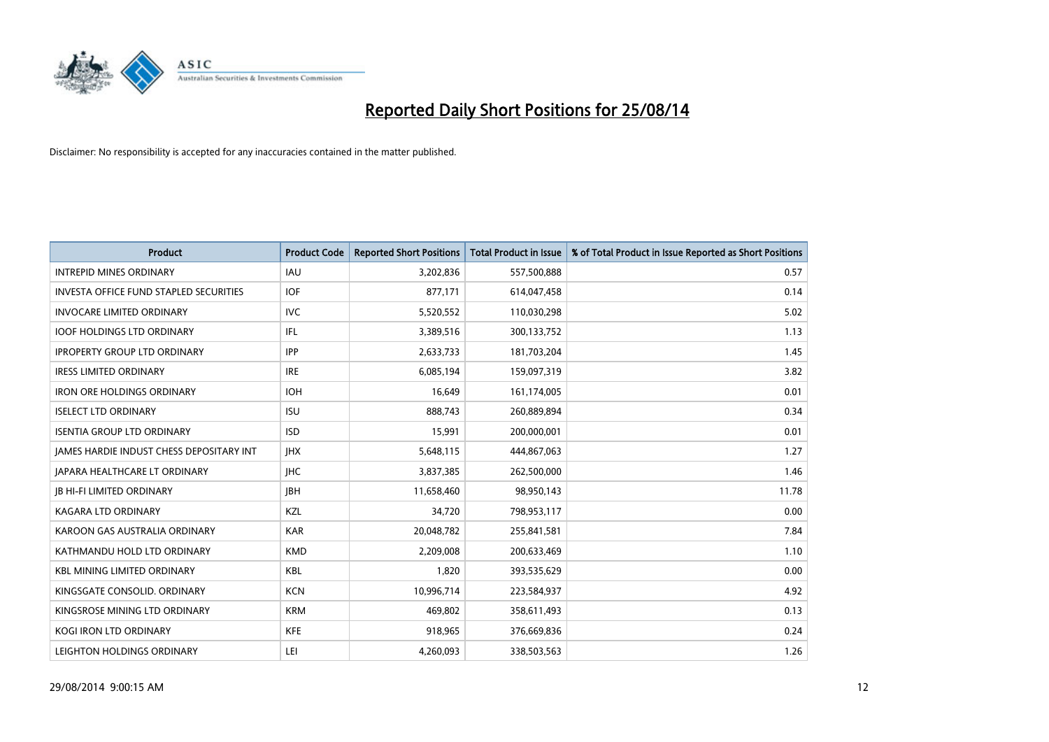

| Product                                         | <b>Product Code</b> | <b>Reported Short Positions</b> | <b>Total Product in Issue</b> | % of Total Product in Issue Reported as Short Positions |
|-------------------------------------------------|---------------------|---------------------------------|-------------------------------|---------------------------------------------------------|
| <b>INTREPID MINES ORDINARY</b>                  | <b>IAU</b>          | 3,202,836                       | 557,500,888                   | 0.57                                                    |
| <b>INVESTA OFFICE FUND STAPLED SECURITIES</b>   | <b>IOF</b>          | 877,171                         | 614,047,458                   | 0.14                                                    |
| <b>INVOCARE LIMITED ORDINARY</b>                | <b>IVC</b>          | 5,520,552                       | 110,030,298                   | 5.02                                                    |
| <b>IOOF HOLDINGS LTD ORDINARY</b>               | IFL                 | 3,389,516                       | 300,133,752                   | 1.13                                                    |
| <b>IPROPERTY GROUP LTD ORDINARY</b>             | <b>IPP</b>          | 2,633,733                       | 181,703,204                   | 1.45                                                    |
| <b>IRESS LIMITED ORDINARY</b>                   | <b>IRE</b>          | 6,085,194                       | 159,097,319                   | 3.82                                                    |
| <b>IRON ORE HOLDINGS ORDINARY</b>               | <b>IOH</b>          | 16,649                          | 161,174,005                   | 0.01                                                    |
| <b>ISELECT LTD ORDINARY</b>                     | <b>ISU</b>          | 888,743                         | 260,889,894                   | 0.34                                                    |
| <b>ISENTIA GROUP LTD ORDINARY</b>               | <b>ISD</b>          | 15,991                          | 200,000,001                   | 0.01                                                    |
| <b>JAMES HARDIE INDUST CHESS DEPOSITARY INT</b> | <b>IHX</b>          | 5,648,115                       | 444,867,063                   | 1.27                                                    |
| JAPARA HEALTHCARE LT ORDINARY                   | <b>IHC</b>          | 3,837,385                       | 262,500,000                   | 1.46                                                    |
| <b>JB HI-FI LIMITED ORDINARY</b>                | <b>JBH</b>          | 11,658,460                      | 98,950,143                    | 11.78                                                   |
| <b>KAGARA LTD ORDINARY</b>                      | KZL                 | 34,720                          | 798,953,117                   | 0.00                                                    |
| KAROON GAS AUSTRALIA ORDINARY                   | <b>KAR</b>          | 20,048,782                      | 255,841,581                   | 7.84                                                    |
| KATHMANDU HOLD LTD ORDINARY                     | <b>KMD</b>          | 2,209,008                       | 200,633,469                   | 1.10                                                    |
| <b>KBL MINING LIMITED ORDINARY</b>              | <b>KBL</b>          | 1,820                           | 393,535,629                   | 0.00                                                    |
| KINGSGATE CONSOLID. ORDINARY                    | <b>KCN</b>          | 10,996,714                      | 223,584,937                   | 4.92                                                    |
| KINGSROSE MINING LTD ORDINARY                   | <b>KRM</b>          | 469.802                         | 358,611,493                   | 0.13                                                    |
| <b>KOGI IRON LTD ORDINARY</b>                   | <b>KFE</b>          | 918,965                         | 376,669,836                   | 0.24                                                    |
| LEIGHTON HOLDINGS ORDINARY                      | LEI                 | 4,260,093                       | 338,503,563                   | 1.26                                                    |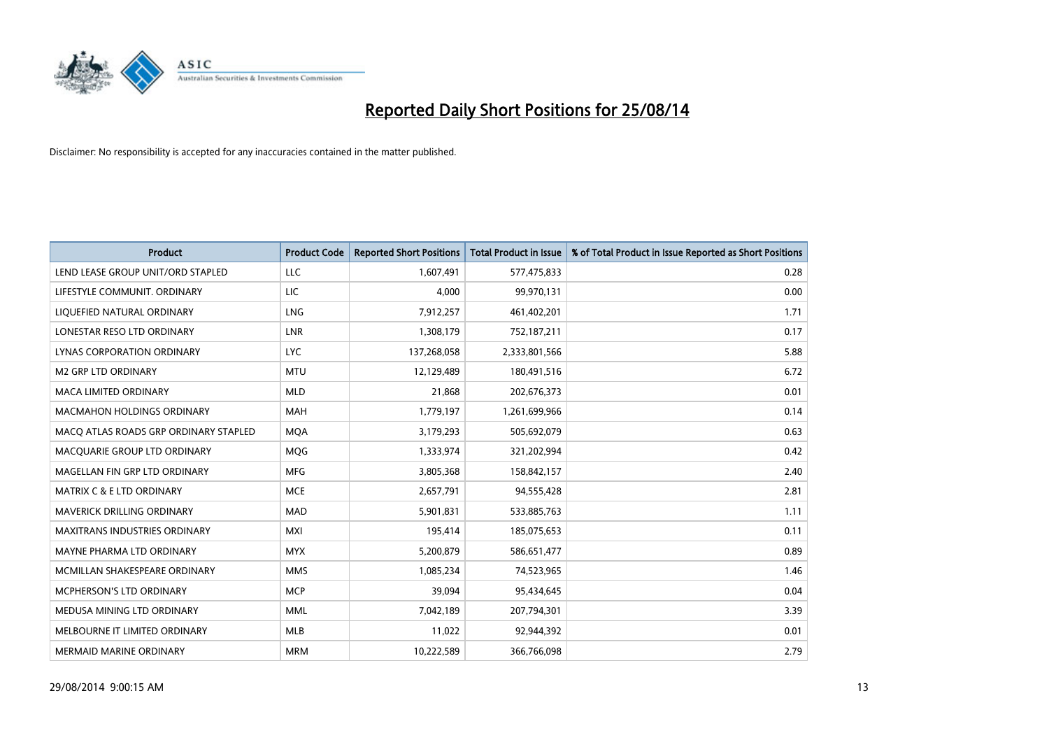

| <b>Product</b>                        | <b>Product Code</b> | <b>Reported Short Positions</b> | <b>Total Product in Issue</b> | % of Total Product in Issue Reported as Short Positions |
|---------------------------------------|---------------------|---------------------------------|-------------------------------|---------------------------------------------------------|
| LEND LEASE GROUP UNIT/ORD STAPLED     | LLC                 | 1,607,491                       | 577,475,833                   | 0.28                                                    |
| LIFESTYLE COMMUNIT. ORDINARY          | LIC                 | 4,000                           | 99,970,131                    | 0.00                                                    |
| LIQUEFIED NATURAL ORDINARY            | <b>LNG</b>          | 7,912,257                       | 461,402,201                   | 1.71                                                    |
| LONESTAR RESO LTD ORDINARY            | <b>LNR</b>          | 1,308,179                       | 752,187,211                   | 0.17                                                    |
| LYNAS CORPORATION ORDINARY            | <b>LYC</b>          | 137,268,058                     | 2,333,801,566                 | 5.88                                                    |
| <b>M2 GRP LTD ORDINARY</b>            | <b>MTU</b>          | 12,129,489                      | 180,491,516                   | 6.72                                                    |
| <b>MACA LIMITED ORDINARY</b>          | <b>MLD</b>          | 21,868                          | 202,676,373                   | 0.01                                                    |
| <b>MACMAHON HOLDINGS ORDINARY</b>     | <b>MAH</b>          | 1,779,197                       | 1,261,699,966                 | 0.14                                                    |
| MACO ATLAS ROADS GRP ORDINARY STAPLED | <b>MOA</b>          | 3,179,293                       | 505,692,079                   | 0.63                                                    |
| MACQUARIE GROUP LTD ORDINARY          | <b>MQG</b>          | 1,333,974                       | 321,202,994                   | 0.42                                                    |
| MAGELLAN FIN GRP LTD ORDINARY         | <b>MFG</b>          | 3,805,368                       | 158,842,157                   | 2.40                                                    |
| <b>MATRIX C &amp; E LTD ORDINARY</b>  | <b>MCE</b>          | 2,657,791                       | 94,555,428                    | 2.81                                                    |
| MAVERICK DRILLING ORDINARY            | <b>MAD</b>          | 5,901,831                       | 533,885,763                   | 1.11                                                    |
| <b>MAXITRANS INDUSTRIES ORDINARY</b>  | <b>MXI</b>          | 195,414                         | 185,075,653                   | 0.11                                                    |
| MAYNE PHARMA LTD ORDINARY             | <b>MYX</b>          | 5,200,879                       | 586,651,477                   | 0.89                                                    |
| MCMILLAN SHAKESPEARE ORDINARY         | <b>MMS</b>          | 1,085,234                       | 74,523,965                    | 1.46                                                    |
| MCPHERSON'S LTD ORDINARY              | <b>MCP</b>          | 39,094                          | 95,434,645                    | 0.04                                                    |
| MEDUSA MINING LTD ORDINARY            | <b>MML</b>          | 7,042,189                       | 207,794,301                   | 3.39                                                    |
| MELBOURNE IT LIMITED ORDINARY         | MLB                 | 11,022                          | 92,944,392                    | 0.01                                                    |
| <b>MERMAID MARINE ORDINARY</b>        | <b>MRM</b>          | 10,222,589                      | 366,766,098                   | 2.79                                                    |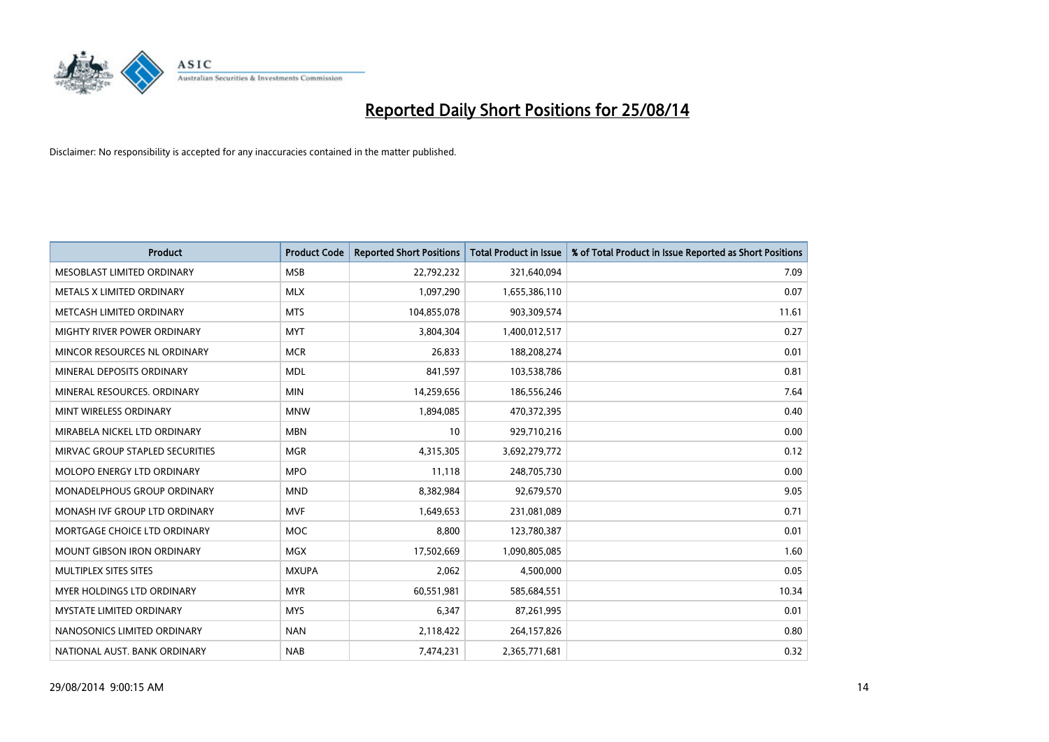

| <b>Product</b>                     | <b>Product Code</b> | <b>Reported Short Positions</b> | <b>Total Product in Issue</b> | % of Total Product in Issue Reported as Short Positions |
|------------------------------------|---------------------|---------------------------------|-------------------------------|---------------------------------------------------------|
| MESOBLAST LIMITED ORDINARY         | <b>MSB</b>          | 22,792,232                      | 321,640,094                   | 7.09                                                    |
| METALS X LIMITED ORDINARY          | <b>MLX</b>          | 1,097,290                       | 1,655,386,110                 | 0.07                                                    |
| METCASH LIMITED ORDINARY           | <b>MTS</b>          | 104,855,078                     | 903,309,574                   | 11.61                                                   |
| MIGHTY RIVER POWER ORDINARY        | <b>MYT</b>          | 3,804,304                       | 1,400,012,517                 | 0.27                                                    |
| MINCOR RESOURCES NL ORDINARY       | <b>MCR</b>          | 26,833                          | 188,208,274                   | 0.01                                                    |
| MINERAL DEPOSITS ORDINARY          | <b>MDL</b>          | 841,597                         | 103,538,786                   | 0.81                                                    |
| MINERAL RESOURCES, ORDINARY        | <b>MIN</b>          | 14,259,656                      | 186,556,246                   | 7.64                                                    |
| MINT WIRELESS ORDINARY             | <b>MNW</b>          | 1,894,085                       | 470,372,395                   | 0.40                                                    |
| MIRABELA NICKEL LTD ORDINARY       | <b>MBN</b>          | 10                              | 929,710,216                   | 0.00                                                    |
| MIRVAC GROUP STAPLED SECURITIES    | <b>MGR</b>          | 4,315,305                       | 3,692,279,772                 | 0.12                                                    |
| MOLOPO ENERGY LTD ORDINARY         | <b>MPO</b>          | 11,118                          | 248,705,730                   | 0.00                                                    |
| <b>MONADELPHOUS GROUP ORDINARY</b> | <b>MND</b>          | 8,382,984                       | 92,679,570                    | 9.05                                                    |
| MONASH IVF GROUP LTD ORDINARY      | <b>MVF</b>          | 1,649,653                       | 231,081,089                   | 0.71                                                    |
| MORTGAGE CHOICE LTD ORDINARY       | MOC                 | 8,800                           | 123,780,387                   | 0.01                                                    |
| <b>MOUNT GIBSON IRON ORDINARY</b>  | <b>MGX</b>          | 17,502,669                      | 1,090,805,085                 | 1.60                                                    |
| MULTIPLEX SITES SITES              | <b>MXUPA</b>        | 2,062                           | 4,500,000                     | 0.05                                                    |
| MYER HOLDINGS LTD ORDINARY         | <b>MYR</b>          | 60,551,981                      | 585,684,551                   | 10.34                                                   |
| MYSTATE LIMITED ORDINARY           | <b>MYS</b>          | 6,347                           | 87,261,995                    | 0.01                                                    |
| NANOSONICS LIMITED ORDINARY        | <b>NAN</b>          | 2,118,422                       | 264,157,826                   | 0.80                                                    |
| NATIONAL AUST. BANK ORDINARY       | <b>NAB</b>          | 7,474,231                       | 2,365,771,681                 | 0.32                                                    |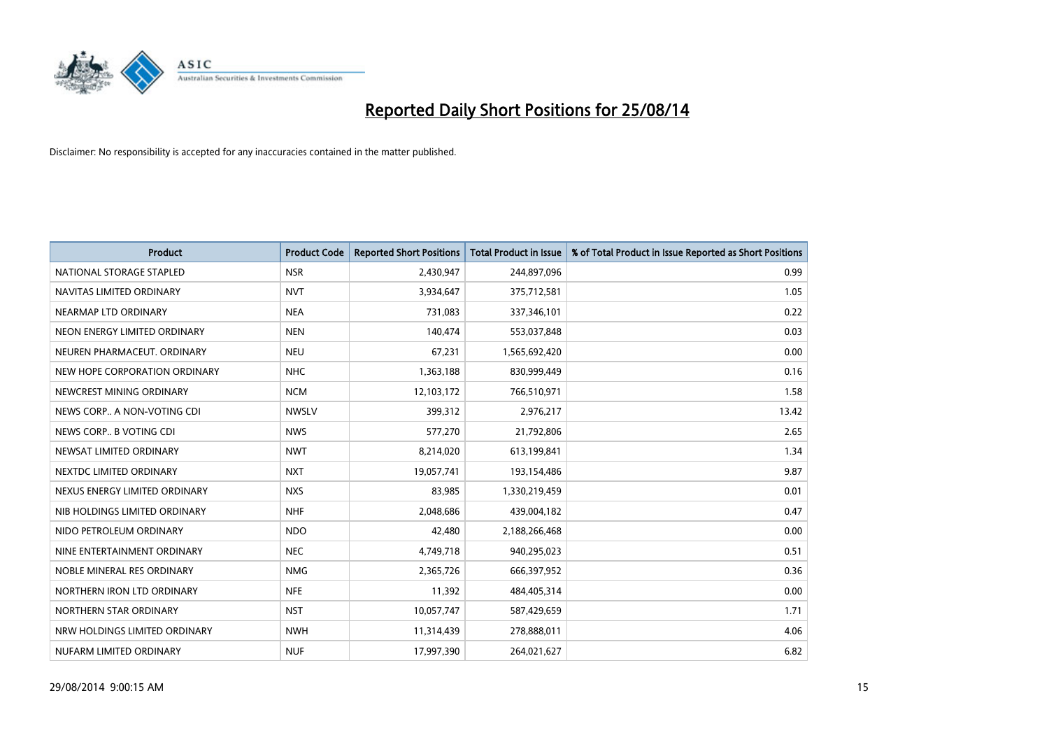

| <b>Product</b>                | <b>Product Code</b> | <b>Reported Short Positions</b> | <b>Total Product in Issue</b> | % of Total Product in Issue Reported as Short Positions |
|-------------------------------|---------------------|---------------------------------|-------------------------------|---------------------------------------------------------|
| NATIONAL STORAGE STAPLED      | <b>NSR</b>          | 2,430,947                       | 244,897,096                   | 0.99                                                    |
| NAVITAS LIMITED ORDINARY      | <b>NVT</b>          | 3,934,647                       | 375,712,581                   | 1.05                                                    |
| NEARMAP LTD ORDINARY          | <b>NEA</b>          | 731,083                         | 337,346,101                   | 0.22                                                    |
| NEON ENERGY LIMITED ORDINARY  | <b>NEN</b>          | 140,474                         | 553,037,848                   | 0.03                                                    |
| NEUREN PHARMACEUT, ORDINARY   | <b>NEU</b>          | 67,231                          | 1,565,692,420                 | 0.00                                                    |
| NEW HOPE CORPORATION ORDINARY | <b>NHC</b>          | 1,363,188                       | 830,999,449                   | 0.16                                                    |
| NEWCREST MINING ORDINARY      | <b>NCM</b>          | 12,103,172                      | 766,510,971                   | 1.58                                                    |
| NEWS CORP A NON-VOTING CDI    | <b>NWSLV</b>        | 399,312                         | 2,976,217                     | 13.42                                                   |
| NEWS CORP B VOTING CDI        | <b>NWS</b>          | 577,270                         | 21,792,806                    | 2.65                                                    |
| NEWSAT LIMITED ORDINARY       | <b>NWT</b>          | 8,214,020                       | 613,199,841                   | 1.34                                                    |
| NEXTDC LIMITED ORDINARY       | <b>NXT</b>          | 19,057,741                      | 193,154,486                   | 9.87                                                    |
| NEXUS ENERGY LIMITED ORDINARY | <b>NXS</b>          | 83,985                          | 1,330,219,459                 | 0.01                                                    |
| NIB HOLDINGS LIMITED ORDINARY | <b>NHF</b>          | 2,048,686                       | 439,004,182                   | 0.47                                                    |
| NIDO PETROLEUM ORDINARY       | <b>NDO</b>          | 42,480                          | 2,188,266,468                 | 0.00                                                    |
| NINE ENTERTAINMENT ORDINARY   | <b>NEC</b>          | 4,749,718                       | 940,295,023                   | 0.51                                                    |
| NOBLE MINERAL RES ORDINARY    | <b>NMG</b>          | 2,365,726                       | 666,397,952                   | 0.36                                                    |
| NORTHERN IRON LTD ORDINARY    | <b>NFE</b>          | 11,392                          | 484,405,314                   | 0.00                                                    |
| NORTHERN STAR ORDINARY        | <b>NST</b>          | 10,057,747                      | 587,429,659                   | 1.71                                                    |
| NRW HOLDINGS LIMITED ORDINARY | <b>NWH</b>          | 11,314,439                      | 278,888,011                   | 4.06                                                    |
| NUFARM LIMITED ORDINARY       | <b>NUF</b>          | 17,997,390                      | 264,021,627                   | 6.82                                                    |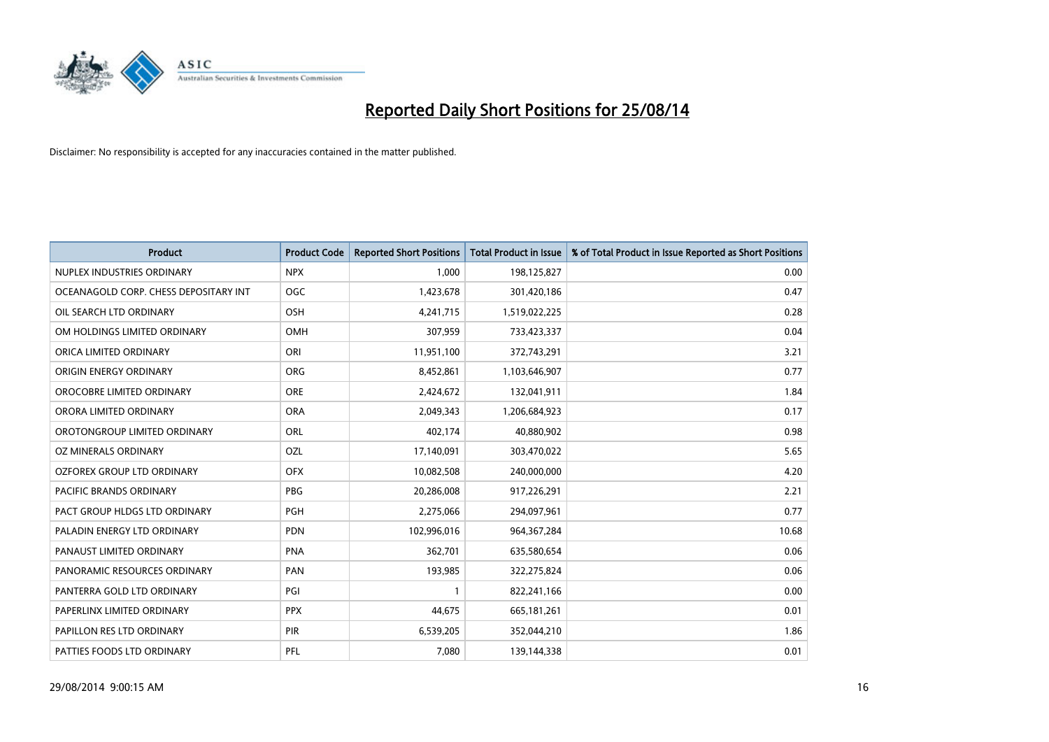

| <b>Product</b>                        | <b>Product Code</b> | <b>Reported Short Positions</b> | <b>Total Product in Issue</b> | % of Total Product in Issue Reported as Short Positions |
|---------------------------------------|---------------------|---------------------------------|-------------------------------|---------------------------------------------------------|
| NUPLEX INDUSTRIES ORDINARY            | <b>NPX</b>          | 1,000                           | 198,125,827                   | 0.00                                                    |
| OCEANAGOLD CORP. CHESS DEPOSITARY INT | <b>OGC</b>          | 1,423,678                       | 301,420,186                   | 0.47                                                    |
| OIL SEARCH LTD ORDINARY               | OSH                 | 4,241,715                       | 1,519,022,225                 | 0.28                                                    |
| OM HOLDINGS LIMITED ORDINARY          | OMH                 | 307,959                         | 733,423,337                   | 0.04                                                    |
| ORICA LIMITED ORDINARY                | ORI                 | 11,951,100                      | 372,743,291                   | 3.21                                                    |
| ORIGIN ENERGY ORDINARY                | ORG                 | 8,452,861                       | 1,103,646,907                 | 0.77                                                    |
| OROCOBRE LIMITED ORDINARY             | <b>ORE</b>          | 2,424,672                       | 132,041,911                   | 1.84                                                    |
| ORORA LIMITED ORDINARY                | <b>ORA</b>          | 2,049,343                       | 1,206,684,923                 | 0.17                                                    |
| OROTONGROUP LIMITED ORDINARY          | <b>ORL</b>          | 402,174                         | 40,880,902                    | 0.98                                                    |
| <b>OZ MINERALS ORDINARY</b>           | OZL                 | 17,140,091                      | 303,470,022                   | 5.65                                                    |
| OZFOREX GROUP LTD ORDINARY            | <b>OFX</b>          | 10,082,508                      | 240,000,000                   | 4.20                                                    |
| PACIFIC BRANDS ORDINARY               | <b>PBG</b>          | 20,286,008                      | 917,226,291                   | 2.21                                                    |
| PACT GROUP HLDGS LTD ORDINARY         | <b>PGH</b>          | 2,275,066                       | 294,097,961                   | 0.77                                                    |
| PALADIN ENERGY LTD ORDINARY           | <b>PDN</b>          | 102,996,016                     | 964, 367, 284                 | 10.68                                                   |
| PANAUST LIMITED ORDINARY              | <b>PNA</b>          | 362,701                         | 635,580,654                   | 0.06                                                    |
| PANORAMIC RESOURCES ORDINARY          | PAN                 | 193,985                         | 322,275,824                   | 0.06                                                    |
| PANTERRA GOLD LTD ORDINARY            | PGI                 | 1                               | 822,241,166                   | 0.00                                                    |
| PAPERLINX LIMITED ORDINARY            | <b>PPX</b>          | 44,675                          | 665, 181, 261                 | 0.01                                                    |
| PAPILLON RES LTD ORDINARY             | PIR                 | 6,539,205                       | 352,044,210                   | 1.86                                                    |
| PATTIES FOODS LTD ORDINARY            | <b>PFL</b>          | 7,080                           | 139,144,338                   | 0.01                                                    |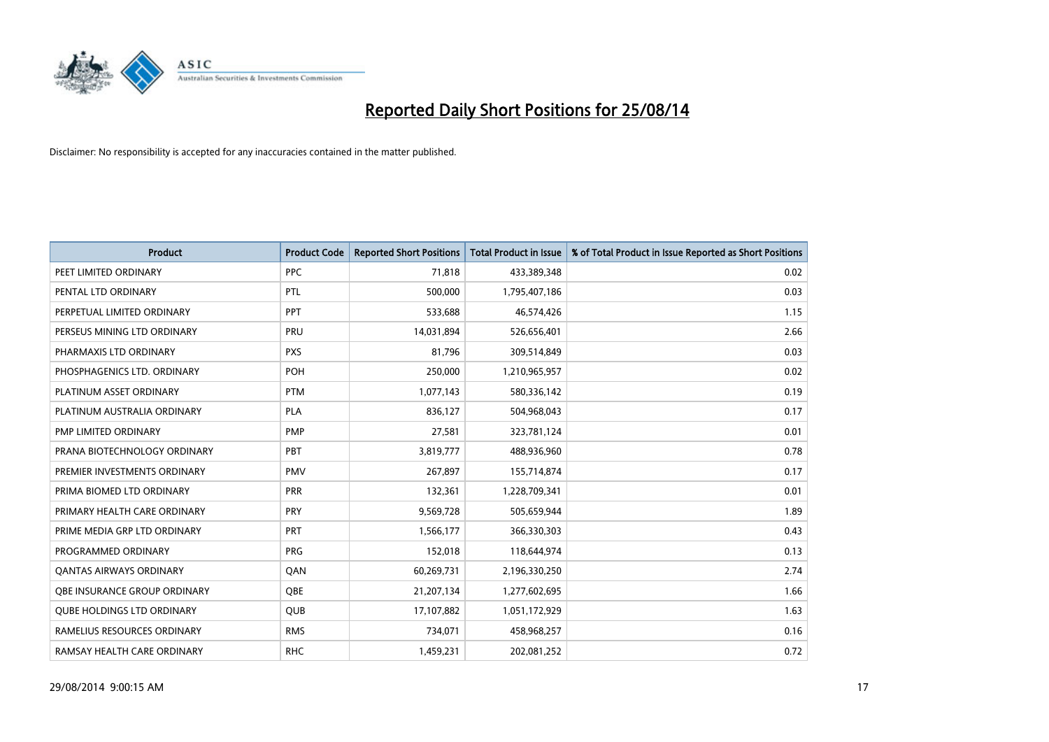

| <b>Product</b>                    | <b>Product Code</b> | <b>Reported Short Positions</b> | <b>Total Product in Issue</b> | % of Total Product in Issue Reported as Short Positions |
|-----------------------------------|---------------------|---------------------------------|-------------------------------|---------------------------------------------------------|
| PEET LIMITED ORDINARY             | <b>PPC</b>          | 71,818                          | 433,389,348                   | 0.02                                                    |
| PENTAL LTD ORDINARY               | <b>PTL</b>          | 500,000                         | 1,795,407,186                 | 0.03                                                    |
| PERPETUAL LIMITED ORDINARY        | <b>PPT</b>          | 533,688                         | 46,574,426                    | 1.15                                                    |
| PERSEUS MINING LTD ORDINARY       | PRU                 | 14,031,894                      | 526,656,401                   | 2.66                                                    |
| PHARMAXIS LTD ORDINARY            | <b>PXS</b>          | 81,796                          | 309,514,849                   | 0.03                                                    |
| PHOSPHAGENICS LTD. ORDINARY       | POH                 | 250,000                         | 1,210,965,957                 | 0.02                                                    |
| PLATINUM ASSET ORDINARY           | <b>PTM</b>          | 1,077,143                       | 580,336,142                   | 0.19                                                    |
| PLATINUM AUSTRALIA ORDINARY       | <b>PLA</b>          | 836,127                         | 504,968,043                   | 0.17                                                    |
| PMP LIMITED ORDINARY              | <b>PMP</b>          | 27,581                          | 323,781,124                   | 0.01                                                    |
| PRANA BIOTECHNOLOGY ORDINARY      | PBT                 | 3,819,777                       | 488,936,960                   | 0.78                                                    |
| PREMIER INVESTMENTS ORDINARY      | <b>PMV</b>          | 267,897                         | 155,714,874                   | 0.17                                                    |
| PRIMA BIOMED LTD ORDINARY         | <b>PRR</b>          | 132,361                         | 1,228,709,341                 | 0.01                                                    |
| PRIMARY HEALTH CARE ORDINARY      | <b>PRY</b>          | 9,569,728                       | 505,659,944                   | 1.89                                                    |
| PRIME MEDIA GRP LTD ORDINARY      | <b>PRT</b>          | 1,566,177                       | 366,330,303                   | 0.43                                                    |
| PROGRAMMED ORDINARY               | <b>PRG</b>          | 152,018                         | 118,644,974                   | 0.13                                                    |
| <b>QANTAS AIRWAYS ORDINARY</b>    | QAN                 | 60,269,731                      | 2,196,330,250                 | 2.74                                                    |
| OBE INSURANCE GROUP ORDINARY      | QBE                 | 21,207,134                      | 1,277,602,695                 | 1.66                                                    |
| <b>QUBE HOLDINGS LTD ORDINARY</b> | <b>QUB</b>          | 17,107,882                      | 1,051,172,929                 | 1.63                                                    |
| RAMELIUS RESOURCES ORDINARY       | <b>RMS</b>          | 734,071                         | 458,968,257                   | 0.16                                                    |
| RAMSAY HEALTH CARE ORDINARY       | <b>RHC</b>          | 1,459,231                       | 202,081,252                   | 0.72                                                    |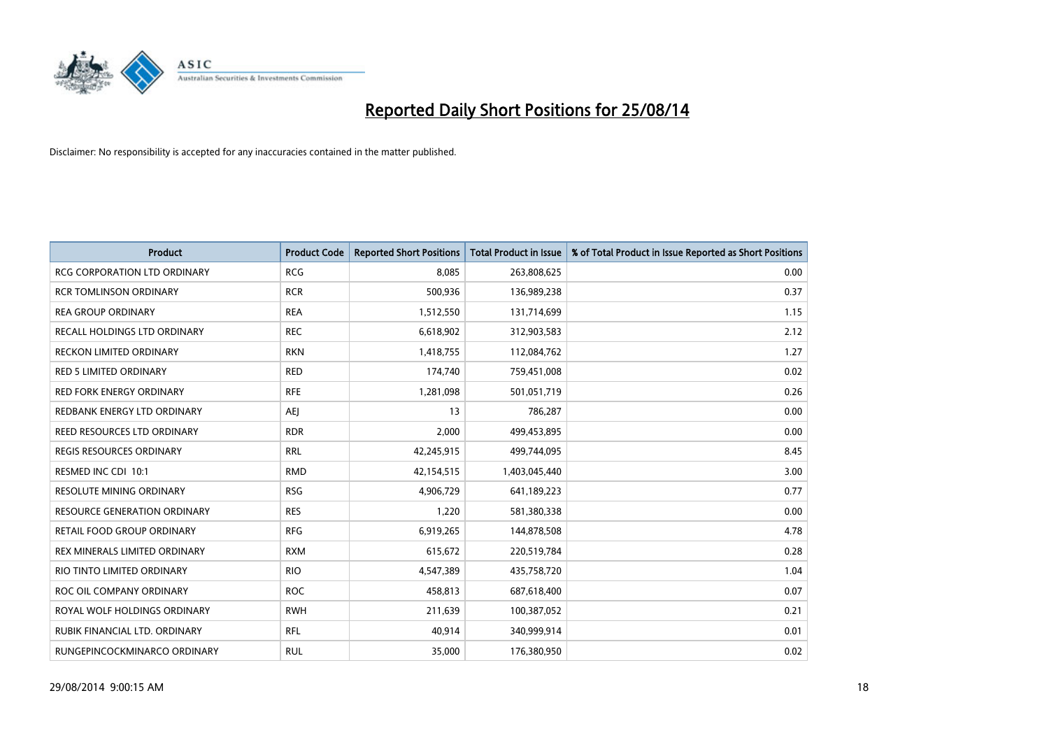

| <b>Product</b>                      | <b>Product Code</b> | <b>Reported Short Positions</b> | <b>Total Product in Issue</b> | % of Total Product in Issue Reported as Short Positions |
|-------------------------------------|---------------------|---------------------------------|-------------------------------|---------------------------------------------------------|
| <b>RCG CORPORATION LTD ORDINARY</b> | <b>RCG</b>          | 8,085                           | 263,808,625                   | 0.00                                                    |
| <b>RCR TOMLINSON ORDINARY</b>       | <b>RCR</b>          | 500,936                         | 136,989,238                   | 0.37                                                    |
| <b>REA GROUP ORDINARY</b>           | <b>REA</b>          | 1,512,550                       | 131,714,699                   | 1.15                                                    |
| RECALL HOLDINGS LTD ORDINARY        | <b>REC</b>          | 6,618,902                       | 312,903,583                   | 2.12                                                    |
| <b>RECKON LIMITED ORDINARY</b>      | <b>RKN</b>          | 1,418,755                       | 112,084,762                   | 1.27                                                    |
| <b>RED 5 LIMITED ORDINARY</b>       | <b>RED</b>          | 174,740                         | 759,451,008                   | 0.02                                                    |
| <b>RED FORK ENERGY ORDINARY</b>     | <b>RFE</b>          | 1,281,098                       | 501,051,719                   | 0.26                                                    |
| REDBANK ENERGY LTD ORDINARY         | AEJ                 | 13                              | 786,287                       | 0.00                                                    |
| REED RESOURCES LTD ORDINARY         | <b>RDR</b>          | 2,000                           | 499,453,895                   | 0.00                                                    |
| <b>REGIS RESOURCES ORDINARY</b>     | <b>RRL</b>          | 42,245,915                      | 499,744,095                   | 8.45                                                    |
| RESMED INC CDI 10:1                 | <b>RMD</b>          | 42,154,515                      | 1,403,045,440                 | 3.00                                                    |
| <b>RESOLUTE MINING ORDINARY</b>     | <b>RSG</b>          | 4,906,729                       | 641,189,223                   | 0.77                                                    |
| RESOURCE GENERATION ORDINARY        | <b>RES</b>          | 1,220                           | 581,380,338                   | 0.00                                                    |
| RETAIL FOOD GROUP ORDINARY          | <b>RFG</b>          | 6,919,265                       | 144,878,508                   | 4.78                                                    |
| REX MINERALS LIMITED ORDINARY       | <b>RXM</b>          | 615,672                         | 220,519,784                   | 0.28                                                    |
| RIO TINTO LIMITED ORDINARY          | <b>RIO</b>          | 4,547,389                       | 435,758,720                   | 1.04                                                    |
| ROC OIL COMPANY ORDINARY            | <b>ROC</b>          | 458,813                         | 687,618,400                   | 0.07                                                    |
| ROYAL WOLF HOLDINGS ORDINARY        | <b>RWH</b>          | 211,639                         | 100,387,052                   | 0.21                                                    |
| RUBIK FINANCIAL LTD. ORDINARY       | <b>RFL</b>          | 40,914                          | 340,999,914                   | 0.01                                                    |
| RUNGEPINCOCKMINARCO ORDINARY        | <b>RUL</b>          | 35,000                          | 176,380,950                   | 0.02                                                    |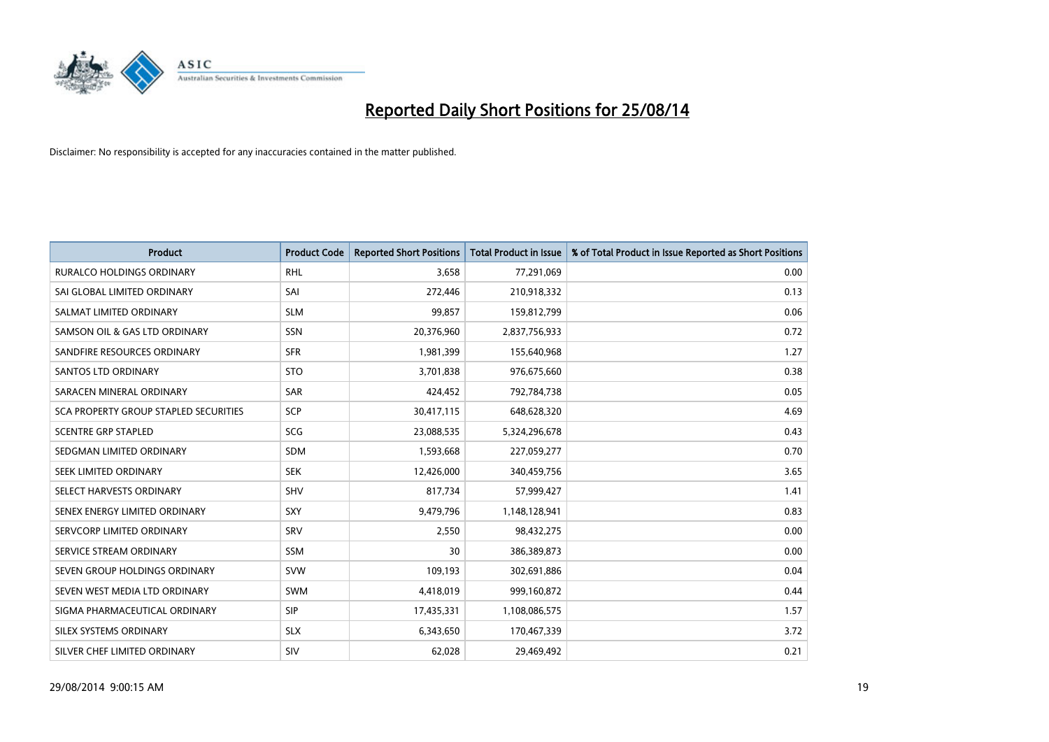

| <b>Product</b>                        | <b>Product Code</b> | <b>Reported Short Positions</b> | <b>Total Product in Issue</b> | % of Total Product in Issue Reported as Short Positions |
|---------------------------------------|---------------------|---------------------------------|-------------------------------|---------------------------------------------------------|
| RURALCO HOLDINGS ORDINARY             | <b>RHL</b>          | 3.658                           | 77,291,069                    | 0.00                                                    |
| SAI GLOBAL LIMITED ORDINARY           | SAI                 | 272,446                         | 210,918,332                   | 0.13                                                    |
| SALMAT LIMITED ORDINARY               | <b>SLM</b>          | 99,857                          | 159,812,799                   | 0.06                                                    |
| SAMSON OIL & GAS LTD ORDINARY         | <b>SSN</b>          | 20,376,960                      | 2,837,756,933                 | 0.72                                                    |
| SANDFIRE RESOURCES ORDINARY           | <b>SFR</b>          | 1,981,399                       | 155,640,968                   | 1.27                                                    |
| SANTOS LTD ORDINARY                   | <b>STO</b>          | 3,701,838                       | 976,675,660                   | 0.38                                                    |
| SARACEN MINERAL ORDINARY              | <b>SAR</b>          | 424,452                         | 792,784,738                   | 0.05                                                    |
| SCA PROPERTY GROUP STAPLED SECURITIES | <b>SCP</b>          | 30,417,115                      | 648,628,320                   | 4.69                                                    |
| <b>SCENTRE GRP STAPLED</b>            | <b>SCG</b>          | 23,088,535                      | 5,324,296,678                 | 0.43                                                    |
| SEDGMAN LIMITED ORDINARY              | <b>SDM</b>          | 1,593,668                       | 227,059,277                   | 0.70                                                    |
| SEEK LIMITED ORDINARY                 | <b>SEK</b>          | 12,426,000                      | 340,459,756                   | 3.65                                                    |
| SELECT HARVESTS ORDINARY              | SHV                 | 817,734                         | 57,999,427                    | 1.41                                                    |
| SENEX ENERGY LIMITED ORDINARY         | <b>SXY</b>          | 9,479,796                       | 1,148,128,941                 | 0.83                                                    |
| SERVCORP LIMITED ORDINARY             | SRV                 | 2,550                           | 98,432,275                    | 0.00                                                    |
| SERVICE STREAM ORDINARY               | <b>SSM</b>          | 30                              | 386,389,873                   | 0.00                                                    |
| SEVEN GROUP HOLDINGS ORDINARY         | <b>SVW</b>          | 109,193                         | 302,691,886                   | 0.04                                                    |
| SEVEN WEST MEDIA LTD ORDINARY         | <b>SWM</b>          | 4,418,019                       | 999,160,872                   | 0.44                                                    |
| SIGMA PHARMACEUTICAL ORDINARY         | <b>SIP</b>          | 17,435,331                      | 1,108,086,575                 | 1.57                                                    |
| SILEX SYSTEMS ORDINARY                | <b>SLX</b>          | 6,343,650                       | 170,467,339                   | 3.72                                                    |
| SILVER CHEF LIMITED ORDINARY          | SIV                 | 62,028                          | 29,469,492                    | 0.21                                                    |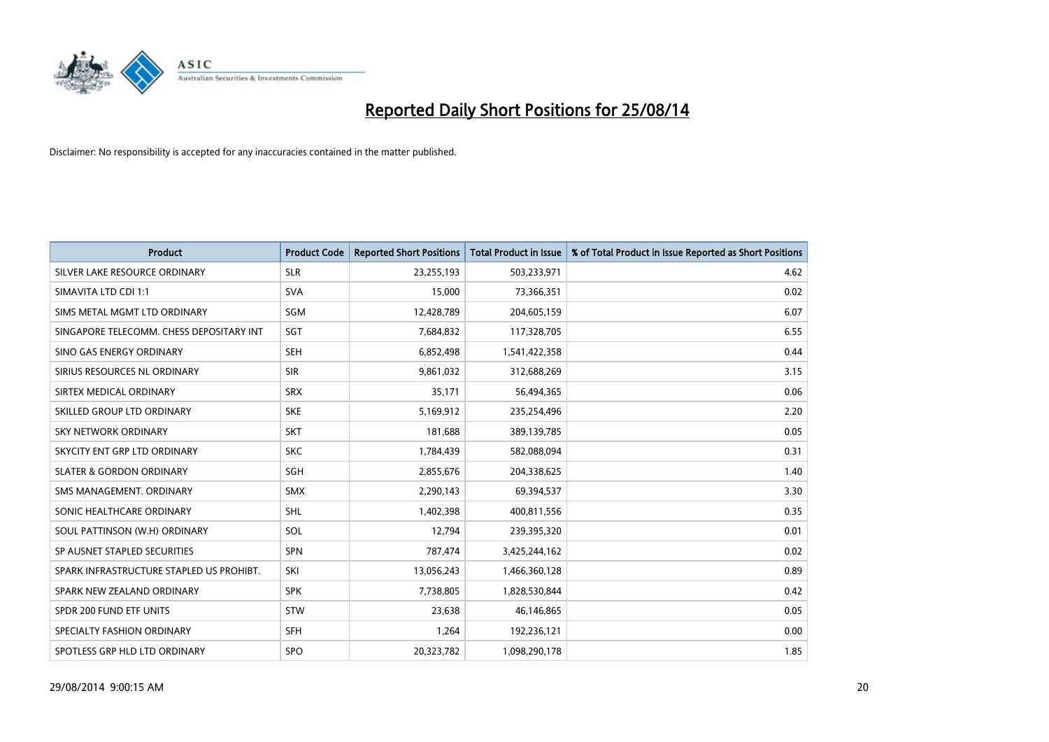

| <b>Product</b>                           | <b>Product Code</b> | <b>Reported Short Positions</b> | <b>Total Product in Issue</b> | % of Total Product in Issue Reported as Short Positions |
|------------------------------------------|---------------------|---------------------------------|-------------------------------|---------------------------------------------------------|
| SILVER LAKE RESOURCE ORDINARY            | <b>SLR</b>          | 23,255,193                      | 503,233,971                   | 4.62                                                    |
| SIMAVITA LTD CDI 1:1                     | <b>SVA</b>          | 15,000                          | 73,366,351                    | 0.02                                                    |
| SIMS METAL MGMT LTD ORDINARY             | SGM                 | 12,428,789                      | 204,605,159                   | 6.07                                                    |
| SINGAPORE TELECOMM. CHESS DEPOSITARY INT | SGT                 | 7,684,832                       | 117,328,705                   | 6.55                                                    |
| SINO GAS ENERGY ORDINARY                 | <b>SEH</b>          | 6,852,498                       | 1,541,422,358                 | 0.44                                                    |
| SIRIUS RESOURCES NL ORDINARY             | <b>SIR</b>          | 9,861,032                       | 312,688,269                   | 3.15                                                    |
| SIRTEX MEDICAL ORDINARY                  | <b>SRX</b>          | 35,171                          | 56,494,365                    | 0.06                                                    |
| SKILLED GROUP LTD ORDINARY               | <b>SKE</b>          | 5,169,912                       | 235,254,496                   | 2.20                                                    |
| <b>SKY NETWORK ORDINARY</b>              | <b>SKT</b>          | 181,688                         | 389,139,785                   | 0.05                                                    |
| SKYCITY ENT GRP LTD ORDINARY             | <b>SKC</b>          | 1,784,439                       | 582,088,094                   | 0.31                                                    |
| <b>SLATER &amp; GORDON ORDINARY</b>      | SGH                 | 2,855,676                       | 204,338,625                   | 1.40                                                    |
| SMS MANAGEMENT, ORDINARY                 | SMX                 | 2,290,143                       | 69,394,537                    | 3.30                                                    |
| SONIC HEALTHCARE ORDINARY                | <b>SHL</b>          | 1,402,398                       | 400,811,556                   | 0.35                                                    |
| SOUL PATTINSON (W.H) ORDINARY            | SOL                 | 12,794                          | 239,395,320                   | 0.01                                                    |
| SP AUSNET STAPLED SECURITIES             | <b>SPN</b>          | 787,474                         | 3,425,244,162                 | 0.02                                                    |
| SPARK INFRASTRUCTURE STAPLED US PROHIBT. | SKI                 | 13,056,243                      | 1,466,360,128                 | 0.89                                                    |
| SPARK NEW ZEALAND ORDINARY               | <b>SPK</b>          | 7,738,805                       | 1,828,530,844                 | 0.42                                                    |
| SPDR 200 FUND ETF UNITS                  | <b>STW</b>          | 23,638                          | 46,146,865                    | 0.05                                                    |
| SPECIALTY FASHION ORDINARY               | <b>SFH</b>          | 1,264                           | 192,236,121                   | 0.00                                                    |
| SPOTLESS GRP HLD LTD ORDINARY            | <b>SPO</b>          | 20,323,782                      | 1,098,290,178                 | 1.85                                                    |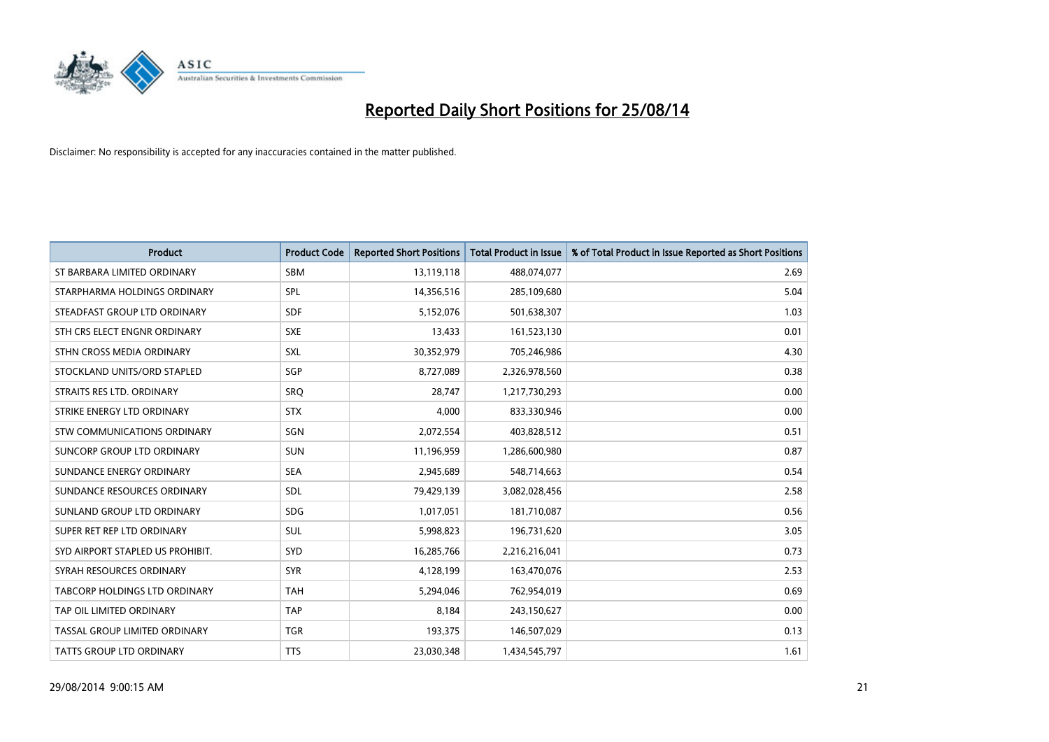

| <b>Product</b>                   | <b>Product Code</b> | <b>Reported Short Positions</b> | <b>Total Product in Issue</b> | % of Total Product in Issue Reported as Short Positions |
|----------------------------------|---------------------|---------------------------------|-------------------------------|---------------------------------------------------------|
| ST BARBARA LIMITED ORDINARY      | <b>SBM</b>          | 13,119,118                      | 488,074,077                   | 2.69                                                    |
| STARPHARMA HOLDINGS ORDINARY     | SPL                 | 14,356,516                      | 285,109,680                   | 5.04                                                    |
| STEADFAST GROUP LTD ORDINARY     | <b>SDF</b>          | 5,152,076                       | 501,638,307                   | 1.03                                                    |
| STH CRS ELECT ENGNR ORDINARY     | <b>SXE</b>          | 13,433                          | 161,523,130                   | 0.01                                                    |
| STHN CROSS MEDIA ORDINARY        | <b>SXL</b>          | 30,352,979                      | 705,246,986                   | 4.30                                                    |
| STOCKLAND UNITS/ORD STAPLED      | SGP                 | 8,727,089                       | 2,326,978,560                 | 0.38                                                    |
| STRAITS RES LTD. ORDINARY        | SRO                 | 28.747                          | 1,217,730,293                 | 0.00                                                    |
| STRIKE ENERGY LTD ORDINARY       | <b>STX</b>          | 4.000                           | 833,330,946                   | 0.00                                                    |
| STW COMMUNICATIONS ORDINARY      | <b>SGN</b>          | 2,072,554                       | 403,828,512                   | 0.51                                                    |
| SUNCORP GROUP LTD ORDINARY       | <b>SUN</b>          | 11,196,959                      | 1,286,600,980                 | 0.87                                                    |
| SUNDANCE ENERGY ORDINARY         | <b>SEA</b>          | 2,945,689                       | 548,714,663                   | 0.54                                                    |
| SUNDANCE RESOURCES ORDINARY      | SDL                 | 79,429,139                      | 3,082,028,456                 | 2.58                                                    |
| SUNLAND GROUP LTD ORDINARY       | <b>SDG</b>          | 1,017,051                       | 181,710,087                   | 0.56                                                    |
| SUPER RET REP LTD ORDINARY       | <b>SUL</b>          | 5,998,823                       | 196,731,620                   | 3.05                                                    |
| SYD AIRPORT STAPLED US PROHIBIT. | SYD                 | 16,285,766                      | 2,216,216,041                 | 0.73                                                    |
| SYRAH RESOURCES ORDINARY         | <b>SYR</b>          | 4,128,199                       | 163,470,076                   | 2.53                                                    |
| TABCORP HOLDINGS LTD ORDINARY    | <b>TAH</b>          | 5,294,046                       | 762,954,019                   | 0.69                                                    |
| TAP OIL LIMITED ORDINARY         | <b>TAP</b>          | 8,184                           | 243,150,627                   | 0.00                                                    |
| TASSAL GROUP LIMITED ORDINARY    | <b>TGR</b>          | 193,375                         | 146,507,029                   | 0.13                                                    |
| <b>TATTS GROUP LTD ORDINARY</b>  | <b>TTS</b>          | 23.030.348                      | 1,434,545,797                 | 1.61                                                    |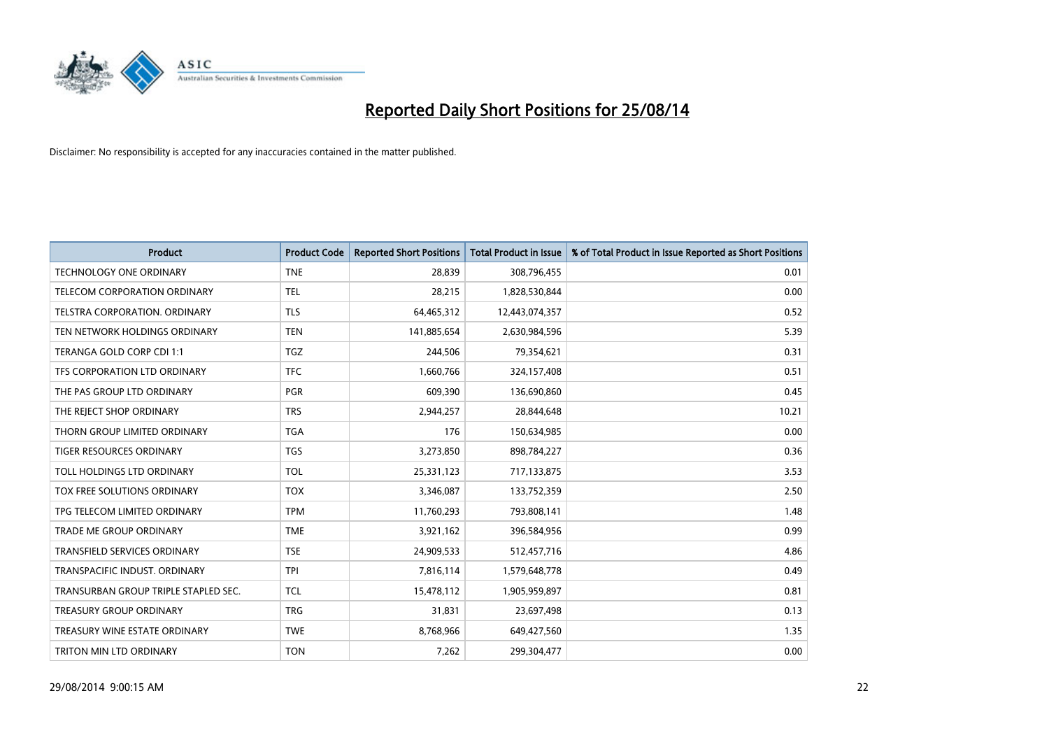

| <b>Product</b>                       | <b>Product Code</b> | <b>Reported Short Positions</b> | <b>Total Product in Issue</b> | % of Total Product in Issue Reported as Short Positions |
|--------------------------------------|---------------------|---------------------------------|-------------------------------|---------------------------------------------------------|
| <b>TECHNOLOGY ONE ORDINARY</b>       | <b>TNE</b>          | 28,839                          | 308,796,455                   | 0.01                                                    |
| TELECOM CORPORATION ORDINARY         | <b>TEL</b>          | 28,215                          | 1,828,530,844                 | 0.00                                                    |
| TELSTRA CORPORATION, ORDINARY        | TLS                 | 64,465,312                      | 12,443,074,357                | 0.52                                                    |
| TEN NETWORK HOLDINGS ORDINARY        | <b>TEN</b>          | 141,885,654                     | 2,630,984,596                 | 5.39                                                    |
| TERANGA GOLD CORP CDI 1:1            | TGZ                 | 244,506                         | 79,354,621                    | 0.31                                                    |
| TFS CORPORATION LTD ORDINARY         | <b>TFC</b>          | 1,660,766                       | 324,157,408                   | 0.51                                                    |
| THE PAS GROUP LTD ORDINARY           | <b>PGR</b>          | 609,390                         | 136,690,860                   | 0.45                                                    |
| THE REJECT SHOP ORDINARY             | <b>TRS</b>          | 2,944,257                       | 28,844,648                    | 10.21                                                   |
| THORN GROUP LIMITED ORDINARY         | <b>TGA</b>          | 176                             | 150,634,985                   | 0.00                                                    |
| <b>TIGER RESOURCES ORDINARY</b>      | <b>TGS</b>          | 3,273,850                       | 898,784,227                   | 0.36                                                    |
| TOLL HOLDINGS LTD ORDINARY           | <b>TOL</b>          | 25,331,123                      | 717,133,875                   | 3.53                                                    |
| TOX FREE SOLUTIONS ORDINARY          | <b>TOX</b>          | 3,346,087                       | 133,752,359                   | 2.50                                                    |
| TPG TELECOM LIMITED ORDINARY         | <b>TPM</b>          | 11,760,293                      | 793,808,141                   | 1.48                                                    |
| <b>TRADE ME GROUP ORDINARY</b>       | <b>TME</b>          | 3,921,162                       | 396,584,956                   | 0.99                                                    |
| <b>TRANSFIELD SERVICES ORDINARY</b>  | <b>TSE</b>          | 24,909,533                      | 512,457,716                   | 4.86                                                    |
| TRANSPACIFIC INDUST, ORDINARY        | <b>TPI</b>          | 7,816,114                       | 1,579,648,778                 | 0.49                                                    |
| TRANSURBAN GROUP TRIPLE STAPLED SEC. | TCL                 | 15,478,112                      | 1,905,959,897                 | 0.81                                                    |
| TREASURY GROUP ORDINARY              | <b>TRG</b>          | 31,831                          | 23,697,498                    | 0.13                                                    |
| TREASURY WINE ESTATE ORDINARY        | <b>TWE</b>          | 8,768,966                       | 649,427,560                   | 1.35                                                    |
| TRITON MIN LTD ORDINARY              | <b>TON</b>          | 7,262                           | 299,304,477                   | 0.00                                                    |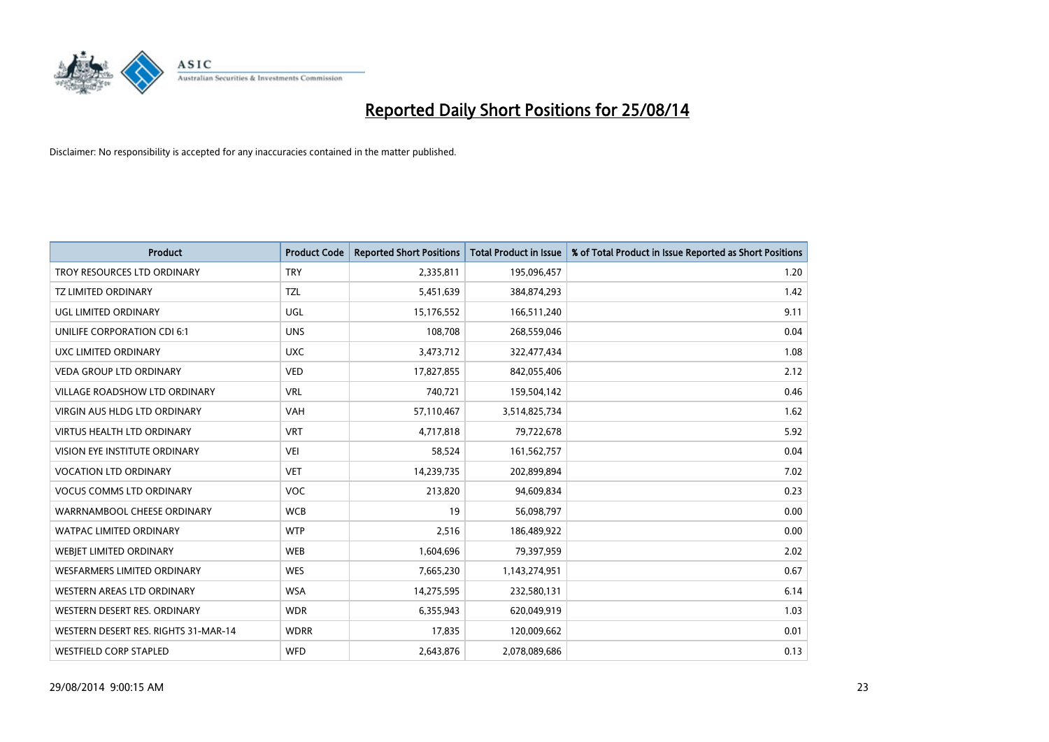

| <b>Product</b>                       | <b>Product Code</b> | <b>Reported Short Positions</b> | <b>Total Product in Issue</b> | % of Total Product in Issue Reported as Short Positions |
|--------------------------------------|---------------------|---------------------------------|-------------------------------|---------------------------------------------------------|
| TROY RESOURCES LTD ORDINARY          | <b>TRY</b>          | 2,335,811                       | 195,096,457                   | 1.20                                                    |
| <b>TZ LIMITED ORDINARY</b>           | <b>TZL</b>          | 5,451,639                       | 384,874,293                   | 1.42                                                    |
| UGL LIMITED ORDINARY                 | UGL                 | 15,176,552                      | 166,511,240                   | 9.11                                                    |
| UNILIFE CORPORATION CDI 6:1          | <b>UNS</b>          | 108,708                         | 268,559,046                   | 0.04                                                    |
| <b>UXC LIMITED ORDINARY</b>          | <b>UXC</b>          | 3,473,712                       | 322,477,434                   | 1.08                                                    |
| <b>VEDA GROUP LTD ORDINARY</b>       | <b>VED</b>          | 17,827,855                      | 842,055,406                   | 2.12                                                    |
| VILLAGE ROADSHOW LTD ORDINARY        | <b>VRL</b>          | 740,721                         | 159,504,142                   | 0.46                                                    |
| VIRGIN AUS HLDG LTD ORDINARY         | <b>VAH</b>          | 57,110,467                      | 3,514,825,734                 | 1.62                                                    |
| <b>VIRTUS HEALTH LTD ORDINARY</b>    | <b>VRT</b>          | 4,717,818                       | 79,722,678                    | 5.92                                                    |
| VISION EYE INSTITUTE ORDINARY        | <b>VEI</b>          | 58,524                          | 161,562,757                   | 0.04                                                    |
| <b>VOCATION LTD ORDINARY</b>         | <b>VET</b>          | 14,239,735                      | 202,899,894                   | 7.02                                                    |
| <b>VOCUS COMMS LTD ORDINARY</b>      | <b>VOC</b>          | 213,820                         | 94,609,834                    | 0.23                                                    |
| WARRNAMBOOL CHEESE ORDINARY          | <b>WCB</b>          | 19                              | 56,098,797                    | 0.00                                                    |
| WATPAC LIMITED ORDINARY              | <b>WTP</b>          | 2,516                           | 186,489,922                   | 0.00                                                    |
| WEBJET LIMITED ORDINARY              | <b>WEB</b>          | 1,604,696                       | 79,397,959                    | 2.02                                                    |
| <b>WESFARMERS LIMITED ORDINARY</b>   | <b>WES</b>          | 7,665,230                       | 1,143,274,951                 | 0.67                                                    |
| WESTERN AREAS LTD ORDINARY           | <b>WSA</b>          | 14,275,595                      | 232,580,131                   | 6.14                                                    |
| WESTERN DESERT RES. ORDINARY         | <b>WDR</b>          | 6,355,943                       | 620,049,919                   | 1.03                                                    |
| WESTERN DESERT RES. RIGHTS 31-MAR-14 | <b>WDRR</b>         | 17,835                          | 120,009,662                   | 0.01                                                    |
| <b>WESTFIELD CORP STAPLED</b>        | <b>WFD</b>          | 2,643,876                       | 2,078,089,686                 | 0.13                                                    |